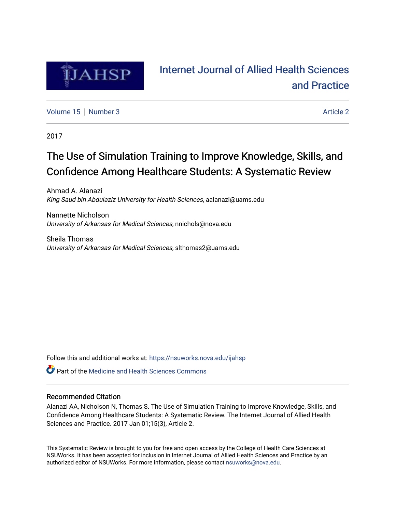

# [Internet Journal of Allied Health Sciences](https://nsuworks.nova.edu/ijahsp)  [and Practice](https://nsuworks.nova.edu/ijahsp)

[Volume 15](https://nsuworks.nova.edu/ijahsp/vol15) [Number 3](https://nsuworks.nova.edu/ijahsp/vol15/iss3) Article 2

2017

# The Use of Simulation Training to Improve Knowledge, Skills, and Confidence Among Healthcare Students: A Systematic Review

Ahmad A. Alanazi King Saud bin Abdulaziz University for Health Sciences, aalanazi@uams.edu

Nannette Nicholson University of Arkansas for Medical Sciences, nnichols@nova.edu

Sheila Thomas University of Arkansas for Medical Sciences, slthomas2@uams.edu

Follow this and additional works at: [https://nsuworks.nova.edu/ijahsp](https://nsuworks.nova.edu/ijahsp?utm_source=nsuworks.nova.edu%2Fijahsp%2Fvol15%2Fiss3%2F2&utm_medium=PDF&utm_campaign=PDFCoverPages) 

**C** Part of the Medicine and Health Sciences Commons

# Recommended Citation

Alanazi AA, Nicholson N, Thomas S. The Use of Simulation Training to Improve Knowledge, Skills, and Confidence Among Healthcare Students: A Systematic Review. The Internet Journal of Allied Health Sciences and Practice. 2017 Jan 01;15(3), Article 2.

This Systematic Review is brought to you for free and open access by the College of Health Care Sciences at NSUWorks. It has been accepted for inclusion in Internet Journal of Allied Health Sciences and Practice by an authorized editor of NSUWorks. For more information, please contact [nsuworks@nova.edu.](mailto:nsuworks@nova.edu)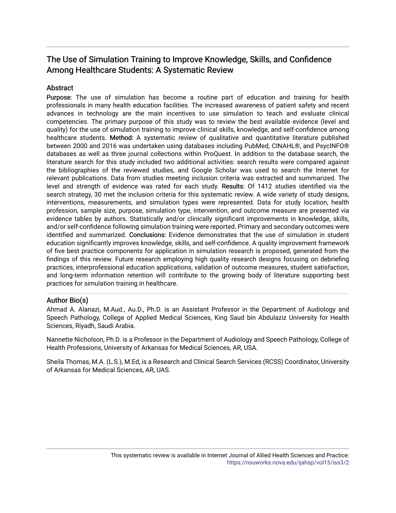# The Use of Simulation Training to Improve Knowledge, Skills, and Confidence Among Healthcare Students: A Systematic Review

# **Abstract**

Purpose: The use of simulation has become a routine part of education and training for health professionals in many health education facilities. The increased awareness of patient safety and recent advances in technology are the main incentives to use simulation to teach and evaluate clinical competencies. The primary purpose of this study was to review the best available evidence (level and quality) for the use of simulation training to improve clinical skills, knowledge, and self-confidence among healthcare students. Method: A systematic review of qualitative and quantitative literature published between 2000 and 2016 was undertaken using databases including PubMed, CINAHL®, and PsycINFO® databases as well as three journal collections within ProQuest. In addition to the database search, the literature search for this study included two additional activities: search results were compared against the bibliographies of the reviewed studies, and Google Scholar was used to search the Internet for relevant publications. Data from studies meeting inclusion criteria was extracted and summarized. The level and strength of evidence was rated for each study. Results: Of 1412 studies identified via the search strategy, 30 met the inclusion criteria for this systematic review. A wide variety of study designs, interventions, measurements, and simulation types were represented. Data for study location, health profession, sample size, purpose, simulation type, intervention, and outcome measure are presented via evidence tables by authors. Statistically and/or clinically significant improvements in knowledge, skills, and/or self-confidence following simulation training were reported. Primary and secondary outcomes were identified and summarized. Conclusions: Evidence demonstrates that the use of simulation in student education significantly improves knowledge, skills, and self-confidence. A quality improvement framework of five best practice components for application in simulation research is proposed, generated from the findings of this review. Future research employing high quality research designs focusing on debriefing practices, interprofessional education applications, validation of outcome measures, student satisfaction, and long-term information retention will contribute to the growing body of literature supporting best practices for simulation training in healthcare.

# Author Bio(s)

Ahmad A. Alanazi, M.Aud., Au.D., Ph.D. is an Assistant Professor in the Department of Audiology and Speech Pathology, College of Applied Medical Sciences, King Saud bin Abdulaziz University for Health Sciences, Riyadh, Saudi Arabia.

Nannette Nicholson, Ph.D. is a Professor in the Department of Audiology and Speech Pathology, College of Health Professions, University of Arkansas for Medical Sciences, AR, USA.

Sheila Thomas, M.A. (L.S.), M.Ed, is a Research and Clinical Search Services (RCSS) Coordinator, University of Arkansas for Medical Sciences, AR, UAS.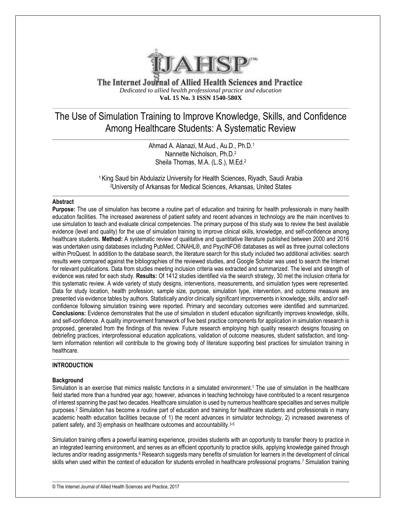

The Internet Journal of Allied Health Sciences and Practice *Dedicated to allied health professional practice and education* **Vol. 15 No. 3 ISSN 1540-580X**

# The Use of Simulation Training to Improve Knowledge, Skills, and Confidence Among Healthcare Students: A Systematic Review

Ahmad A. Alanazi, M.Aud., Au.D., Ph.D.<sup>1</sup> Nannette Nicholson, Ph.D.<sup>2</sup> Sheila Thomas, M.A. (L.S.), M.Ed.<sup>2</sup>

<sup>1</sup> King Saud bin Abdulaziz University for Health Sciences, Riyadh, Saudi Arabia <sup>2</sup>University of Arkansas for Medical Sciences, Arkansas, United States

# **Abstract**

**Purpose:** The use of simulation has become a routine part of education and training for health professionals in many health education facilities. The increased awareness of patient safety and recent advances in technology are the main incentives to use simulation to teach and evaluate clinical competencies. The primary purpose of this study was to review the best available evidence (level and quality) for the use of simulation training to improve clinical skills, knowledge, and self-confidence among healthcare students. **Method:** A systematic review of qualitative and quantitative literature published between 2000 and 2016 was undertaken using databases including PubMed, CINAHL®, and PsycINFO® databases as well as three journal collections within ProQuest. In addition to the database search, the literature search for this study included two additional activities: search results were compared against the bibliographies of the reviewed studies, and Google Scholar was used to search the Internet for relevant publications. Data from studies meeting inclusion criteria was extracted and summarized. The level and strength of evidence was rated for each study. **Results:** Of 1412 studies identified via the search strategy, 30 met the inclusion criteria for this systematic review. A wide variety of study designs, interventions, measurements, and simulation types were represented. Data for study location, health profession, sample size, purpose, simulation type, intervention, and outcome measure are presented via evidence tables by authors. Statistically and/or clinically significant improvements in knowledge, skills, and/or selfconfidence following simulation training were reported. Primary and secondary outcomes were identified and summarized. **Conclusions:** Evidence demonstrates that the use of simulation in student education significantly improves knowledge, skills, and self-confidence. A quality improvement framework of five best practice components for application in simulation research is proposed, generated from the findings of this review. Future research employing high quality research designs focusing on debriefing practices, interprofessional education applications, validation of outcome measures, student satisfaction, and longterm information retention will contribute to the growing body of literature supporting best practices for simulation training in healthcare.

# **INTRODUCTION**

# **Background**

Simulation is an exercise that mimics realistic functions in a simulated environment.<sup>1</sup> The use of simulation in the healthcare field started more than a hundred year ago; however, advances in teaching technology have contributed to a recent resurgence of interest spanning the past two decades. Healthcare simulation is used by numerous healthcare specialties and serves multiple purposes. <sup>2</sup> Simulation has become a routine part of education and training for healthcare students and professionals in many academic health education facilities because of 1) the recent advances in simulator technology, 2) increased awareness of patient safety, and 3) emphasis on healthcare outcomes and accountability.3-5

Simulation training offers a powerful learning experience, provides students with an opportunity to transfer theory to practice in an integrated learning environment, and serves as an efficient opportunity to practice skills, applying knowledge gained through lectures and/or reading assignments.<sup>6</sup> Research suggests many benefits of simulation for learners in the development of clinical skills when used within the context of education for students enrolled in healthcare professional programs.<sup>7</sup> Simulation training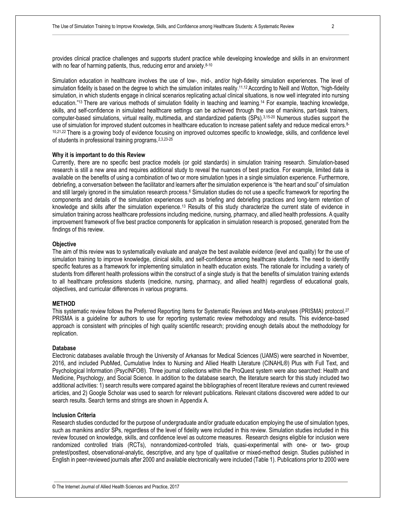Simulation education in healthcare involves the use of low-, mid-, and/or high-fidelity simulation experiences. The level of simulation fidelity is based on the degree to which the simulation imitates reality.<sup>11,12</sup> According to Neill and Wotton, "high-fidelity simulation, in which students engage in clinical scenarios replicating actual clinical situations, is now well integrated into nursing education." <sup>13</sup>There are various methods of simulation fidelity in teaching and learning. <sup>14</sup> For example, teaching knowledge, skills, and self-confidence in simulated healthcare settings can be achieved through the use of manikins, part-task trainers, computer-based simulations, virtual reality, multimedia, and standardized patients (SPs).3,15-20 Numerous studies support the use of simulation for improved student outcomes in healthcare education to increase patient safety and reduce medical errors.<sup>8-</sup> <sup>10,21,22</sup> There is a growing body of evidence focusing on improved outcomes specific to knowledge, skills, and confidence level of students in professional training programs.2,3,23-25

#### **Why it is important to do this Review**

Currently, there are no specific best practice models (or gold standards) in simulation training research. Simulation-based research is still a new area and requires additional study to reveal the nuances of best practice. For example, limited data is available on the benefits of using a combination of two or more simulation types in a single simulation experience. Furthermore, debriefing, a conversation between the facilitator and learners after the simulation experience is "the heart and soul" of simulation and still largely ignored in the simulation research process. <sup>6</sup> Simulation studies do not use a specific framework for reporting the components and details of the simulation experiences such as briefing and debriefing practices and long-term retention of knowledge and skills after the simulation experience.<sup>13</sup> Results of this study characterize the current state of evidence in simulation training across healthcare professions including medicine, nursing, pharmacy, and allied health professions. A quality improvement framework of five best practice components for application in simulation research is proposed, generated from the findings of this review.

#### **Objective**

The aim of this review was to systematically evaluate and analyze the best available evidence (level and quality) for the use of simulation training to improve knowledge, clinical skills, and self-confidence among healthcare students. The need to identify specific features as a framework for implementing simulation in health education exists. The rationale for including a variety of students from different health professions within the construct of a single study is that the benefits of simulation training extends to all healthcare professions students (medicine, nursing, pharmacy, and allied health) regardless of educational goals, objectives, and curricular differences in various programs.

# **METHOD**

This systematic review follows the Preferred Reporting Items for Systematic Reviews and Meta-analyses (PRISMA) protocol.<sup>27</sup> PRISMA is a guideline for authors to use for reporting systematic review methodology and results. This evidence-based approach is consistent with principles of high quality scientific research; providing enough details about the methodology for replication.

#### **Database**

Electronic databases available through the University of Arkansas for Medical Sciences (UAMS) were searched in November, 2016, and included PubMed, Cumulative Index to Nursing and Allied Health Literature (CINAHL®) Plus with Full Text, and Psychological Information (PsycINFO®). Three journal collections within the ProQuest system were also searched: Health and Medicine, Psychology, and Social Science. In addition to the database search, the literature search for this study included two additional activities: 1) search results were compared against the bibliographies of recent literature reviews and current reviewed articles, and 2) Google Scholar was used to search for relevant publications. Relevant citations discovered were added to our search results. Search terms and strings are shown in Appendix A.

#### **Inclusion Criteria**

Research studies conducted for the purpose of undergraduate and/or graduate education employing the use of simulation types, such as manikins and/or SPs, regardless of the level of fidelity were included in this review. Simulation studies included in this review focused on knowledge, skills, and confidence level as outcome measures. Research designs eligible for inclusion were randomized controlled trials (RCTs), nonrandomized-controlled trials, quasi-experimental with one- or two- group pretest/posttest, observational-analytic, descriptive, and any type of qualitative or mixed-method design. Studies published in English in peer-reviewed journals after 2000 and available electronically were included (Table 1). Publications prior to 2000 were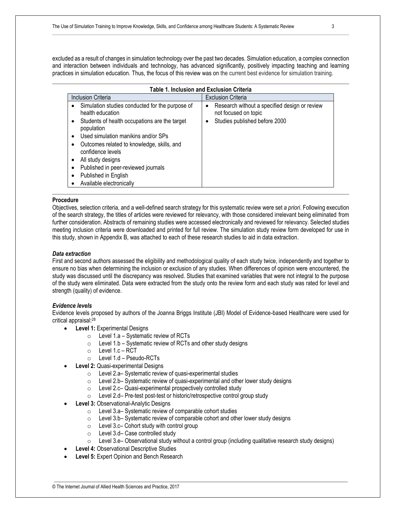excluded as a result of changes in simulation technology over the past two decades. Simulation education, a complex connection and interaction between individuals and technology, has advanced significantly, positively impacting teaching and learning practices in simulation education. Thus, the focus of this review was on the current best evidence for simulation training.

| <b>Table 1. Inclusion and Exclusion Criteria</b>                                                                                                                                                                                                                                                                                                                            |                                                                                                                  |  |  |  |  |  |  |  |  |  |  |
|-----------------------------------------------------------------------------------------------------------------------------------------------------------------------------------------------------------------------------------------------------------------------------------------------------------------------------------------------------------------------------|------------------------------------------------------------------------------------------------------------------|--|--|--|--|--|--|--|--|--|--|
| <b>Inclusion Criteria</b>                                                                                                                                                                                                                                                                                                                                                   | <b>Exclusion Criteria</b>                                                                                        |  |  |  |  |  |  |  |  |  |  |
| Simulation studies conducted for the purpose of<br>health education<br>Students of health occupations are the target<br>٠<br>population<br>Used simulation manikins and/or SPs<br>٠<br>Outcomes related to knowledge, skills, and<br>confidence levels<br>All study designs<br>٠<br>Published in peer-reviewed journals<br>Published in English<br>Available electronically | Research without a specified design or review<br>٠<br>not focused on topic<br>Studies published before 2000<br>٠ |  |  |  |  |  |  |  |  |  |  |

# **Procedure**

Objectives, selection criteria, and a well-defined search strategy for this systematic review were set *a priori*. Following execution of the search strategy, the titles of articles were reviewed for relevancy, with those considered irrelevant being eliminated from further consideration. Abstracts of remaining studies were accessed electronically and reviewed for relevancy. Selected studies meeting inclusion criteria were downloaded and printed for full review. The simulation study review form developed for use in this study, shown in Appendix B, was attached to each of these research studies to aid in data extraction.

#### *Data extraction*

First and second authors assessed the eligibility and methodological quality of each study twice, independently and together to ensure no bias when determining the inclusion or exclusion of any studies. When differences of opinion were encountered, the study was discussed until the discrepancy was resolved. Studies that examined variables that were not integral to the purpose of the study were eliminated. Data were extracted from the study onto the review form and each study was rated for level and strength (quality) of evidence.

#### *Evidence levels*

Evidence levels proposed by authors of the Joanna Briggs Institute (JBI) Model of Evidence-based Healthcare were used for critical appraisal:<sup>28</sup>

- **Level 1: Experimental Designs** 
	- $\circ$  Level 1.a Systematic review of RCTs
	- $\circ$  Level 1.b Systematic review of RCTs and other study designs
	- $\circ$  Level 1.c RCT
	- o Level 1.d Pseudo-RCTs
- **Level 2: Quasi-experimental Designs** 
	- o Level 2.a– Systematic review of quasi-experimental studies
	- o Level 2.b– Systematic review of quasi-experimental and other lower study designs
	- o Level 2.c– Quasi-experimental prospectively controlled study
	- o Level 2.d– Pre-test post-test or historic/retrospective control group study
- **Level 3: Observational-Analytic Designs** 
	- o Level 3.a– Systematic review of comparable cohort studies
	- o Level 3.b– Systematic review of comparable cohort and other lower study designs
	- o Level 3.c– Cohort study with control group
	- o Level 3.d– Case controlled study
	- $\circ$  Level 3.e– Observational study without a control group (including qualitative research study designs)
- **Level 4: Observational Descriptive Studies**
- **Level 5: Expert Opinion and Bench Research**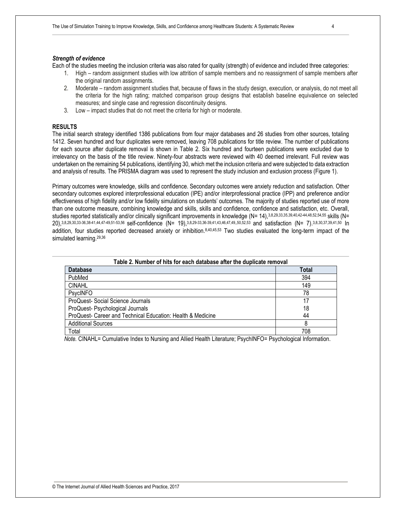#### *Strength of evidence*

Each of the studies meeting the inclusion criteria was also rated for quality (strength) of evidence and included three categories:

- 1. High random assignment studies with low attrition of sample members and no reassignment of sample members after the original random assignments.
- 2. Moderate random assignment studies that, because of flaws in the study design, execution, or analysis, do not meet all the criteria for the high rating; matched comparison group designs that establish baseline equivalence on selected measures; and single case and regression discontinuity designs.
- 3. Low impact studies that do not meet the criteria for high or moderate.

### **RESULTS**

The initial search strategy identified 1386 publications from four major databases and 26 studies from other sources, totaling 1412. Seven hundred and four duplicates were removed, leaving 708 publications for title review. The number of publications for each source after duplicate removal is shown in Table 2. Six hundred and fourteen publications were excluded due to irrelevancy on the basis of the title review. Ninety-four abstracts were reviewed with 40 deemed irrelevant. Full review was undertaken on the remaining 54 publications, identifying 30, which met the inclusion criteria and were subjected to data extraction and analysis of results. The PRISMA diagram was used to represent the study inclusion and exclusion process (Figure 1).

Primary outcomes were knowledge, skills and confidence. Secondary outcomes were anxiety reduction and satisfaction. Other secondary outcomes explored interprofessional education (IPE) and/or interprofessional practice (IPP) and preference and/or effectiveness of high fidelity and/or low fidelity simulations on students' outcomes. The majority of studies reported use of more than one outcome measure, combining knowledge and skills, skills and confidence, confidence and satisfaction, etc. Overall, studies reported statistically and/or clinically significant improvements in knowledge (N= 14),3,8,29,33,35,39,40,42-44,48,52,54,55 skills (N= 20),3,8,29,30,33-36,38-41,44,47-49,51-53,56 self-confidence (N= 19),3,8,29-33,36-39,41,43,46,47,49,,50,52,53 and satisfaction (N= 7). 3,8,30,37,39,41,50 In addition, four studies reported decreased anxiety or inhibition.8,40,45,53 Two studies evaluated the long-term impact of the simulated learning.<sup>29,36</sup>

| Table 2. Number of hits for each database after the duplicate removal |       |  |  |  |  |  |  |  |
|-----------------------------------------------------------------------|-------|--|--|--|--|--|--|--|
| <b>Database</b>                                                       | Total |  |  |  |  |  |  |  |
| PubMed                                                                | 394   |  |  |  |  |  |  |  |
| <b>CINAHL</b>                                                         | 149   |  |  |  |  |  |  |  |
| PsycINFO                                                              | 78    |  |  |  |  |  |  |  |
| ProQuest-Social Science Journals                                      | 17    |  |  |  |  |  |  |  |
| ProQuest- Psychological Journals                                      | 18    |  |  |  |  |  |  |  |
| ProQuest- Career and Technical Education: Health & Medicine           | 44    |  |  |  |  |  |  |  |
| <b>Additional Sources</b>                                             | 8     |  |  |  |  |  |  |  |
| Total                                                                 | 708   |  |  |  |  |  |  |  |

*Note.* CINAHL= Cumulative Index to Nursing and Allied Health Literature; PsychINFO= Psychological Information.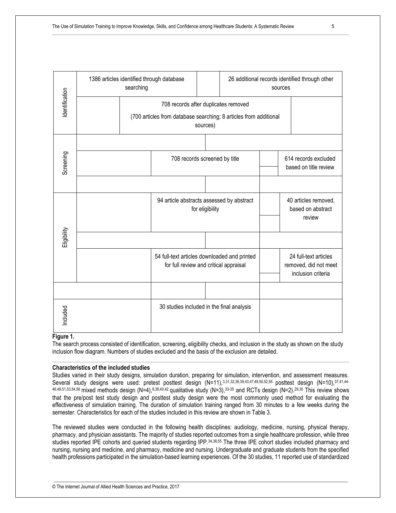

# **Figure 1.**

The search process consisted of identification, screening, eligibility checks, and inclusion in the study as shown on the study inclusion flow diagram. Numbers of studies excluded and the basis of the exclusion are detailed.

# **Characteristics of the included studies**

Studies varied in their study designs, simulation duration, preparing for simulation, intervention, and assessment measures. Several study designs were used: pretest posttest design (N=11),3,31,32,36,39,43,47,48,50,52,55 posttest design (N=10),37,41,44-46,49,51,53,54,56 mixed methods design (N=4),8,38,40,42 qualitative study (N=3),33-35 and RCTs design (N=2).29,30 This review shows that the pre/post test study design and posttest study design were the most commonly used method for evaluating the effectiveness of simulation training. The duration of simulation training ranged from 30 minutes to a few weeks during the semester. Characteristics for each of the studies included in this review are shown in Table 3.

The reviewed studies were conducted in the following health disciplines: audiology, medicine, nursing, physical therapy, pharmacy, and physician assistants. The majority of studies reported outcomes from a single healthcare profession, while three studies reported IPE cohorts and queried students regarding IPP.34,38,55 The three IPE cohort studies included pharmacy and nursing, nursing and medicine, and pharmacy, medicine and nursing. Undergraduate and graduate students from the specified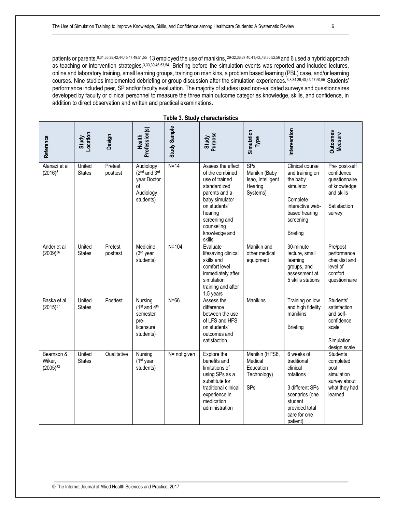patients or parents, 8,34,35,38,42,44,45,47,49,51,55 13 employed the use of manikins, <sup>29-32,36,37,40,41,43,,48,50,52,56</sup> and 6 used a hybrid approach as teaching or intervention strategies. 3,33,39,46,53,54 Briefing before the simulation events was reported and included lectures, online and laboratory training, small learning groups, training on manikins, a problem based learning (PBL) case, and/or learning courses. Nine studies implemented debriefing or group discussion after the simulation experiences.3,8,34,39,40,43,47,50,55 Students' performance included peer, SP and/or faculty evaluation. The majority of studies used non-validated surveys and questionnaires developed by faculty or clinical personnel to measure the three main outcome categories knowledge, skills, and confidence, in addition to direct observation and written and practical examinations.

| Reference                             | Study<br>Location       | Design              | Profession(s)<br>Health                                                              | Study Sample | Study<br>Purpose                                                                                                                                                                               | Simulation<br>Type                                               | Intervention                                                                                                                                     | <b>Outcomes</b><br><b>Measure</b>                                                                     |
|---------------------------------------|-------------------------|---------------------|--------------------------------------------------------------------------------------|--------------|------------------------------------------------------------------------------------------------------------------------------------------------------------------------------------------------|------------------------------------------------------------------|--------------------------------------------------------------------------------------------------------------------------------------------------|-------------------------------------------------------------------------------------------------------|
| Alanazi et al<br>$(2016)^3$           | United<br><b>States</b> | Pretest<br>posttest | Audiology<br>(2 <sup>nd</sup> and 3rd<br>year Doctor<br>οf<br>Audiology<br>students) | $N=14$       | Assess the effect<br>of the combined<br>use of trained<br>standardized<br>parents and a<br>baby simulator<br>on students'<br>hearing<br>screening and<br>counseling<br>knowledge and<br>skills | SPs<br>Manikin (Baby<br>Isao, Intelligent<br>Hearing<br>Systems) | Clinical course<br>and training on<br>the baby<br>simulator<br>Complete<br>interactive web-<br>based hearing<br>screening<br><b>Briefing</b>     | Pre- post-self<br>confidence<br>questionnaire<br>of knowledge<br>and skills<br>Satisfaction<br>survey |
| Ander et al<br>(2009)36               | United<br><b>States</b> | Pretest<br>posttest | Medicine<br>(3rd year<br>students)                                                   | $N=104$      | Evaluate<br>lifesaving clinical<br>skills and<br>comfort level<br>immediately after<br>simulation<br>training and after<br>1.5 years                                                           | Manikin and<br>other medical<br>equipment                        | 30-minute<br>lecture, small<br>learning<br>groups, and<br>assessment at<br>5 skills stations                                                     | Pre/post<br>performance<br>checklist and<br>level of<br>comfort<br>questionnaire                      |
| Baska et al<br>$(2015)^{37}$          | United<br><b>States</b> | Posttest            | Nursing<br>$(1st$ and $4th$<br>semester<br>pre-<br>licensure<br>students)            | $N=66$       | Assess the<br>difference<br>between the use<br>of LFS and HFS<br>on students'<br>outcomes and<br>satisfaction                                                                                  | Manikins                                                         | Training on low<br>and high fidelity<br>manikins<br><b>Briefing</b>                                                                              | Students'<br>satisfaction<br>and self-<br>confidence<br>scale<br>Simulation<br>design scale           |
| Bearnson &<br>Wiker,<br>$(2005)^{33}$ | United<br><b>States</b> | Qualitative         | Nursing<br>$(1st$ year<br>students)                                                  | N= not given | Explore the<br>benefits and<br>limitations of<br>using SPs as a<br>substitute for<br>traditional clinical<br>experience in<br>medication<br>administration                                     | Manikin (HPS6,<br>Medical<br>Education<br>Technology)<br>SPs     | 6 weeks of<br>traditional<br>clinical<br>rotations<br>3 different SPs<br>scenarios (one<br>student<br>provided total<br>care for one<br>patient) | <b>Students</b><br>completed<br>post<br>simulation<br>survey about<br>what they had<br>learned        |

**Table 3. Study characteristics**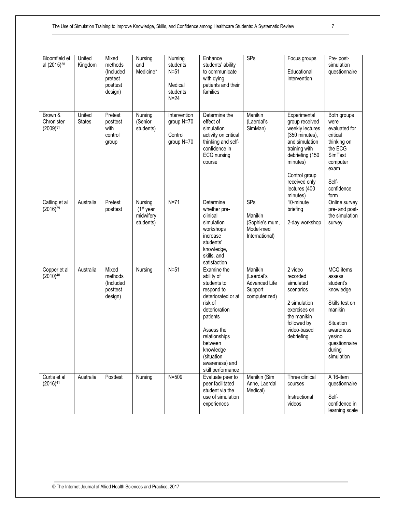| Bloomfield et<br>al (2015) <sup>38</sup> | United<br>Kingdom       | Mixed<br>methods<br>(Included<br>pretest<br>posttest<br>design) | Nursing<br>and<br>Medicine*                      | Nursing<br>students<br>$N=51$<br>Medical<br>students<br>$N=24$ | Enhance<br>students' ability<br>to communicate<br>with dying<br>patients and their<br>families                                                                                                                                   | SPs                                                                | Focus groups<br>Educational<br>intervention                                                                                                                                                          | Pre-post-<br>simulation<br>questionnaire                                                                                                                |
|------------------------------------------|-------------------------|-----------------------------------------------------------------|--------------------------------------------------|----------------------------------------------------------------|----------------------------------------------------------------------------------------------------------------------------------------------------------------------------------------------------------------------------------|--------------------------------------------------------------------|------------------------------------------------------------------------------------------------------------------------------------------------------------------------------------------------------|---------------------------------------------------------------------------------------------------------------------------------------------------------|
| Brown &<br>Chronister<br>$(2009)^{31}$   | United<br><b>States</b> | Pretest<br>posttest<br>with<br>control<br>group                 | Nursing<br>(Senior<br>students)                  | Intervention<br>group N=70<br>Control<br>group N=70            | Determine the<br>effect of<br>simulation<br>activity on critical<br>thinking and self-<br>confidence in<br><b>ECG</b> nursing<br>course                                                                                          | Manikin<br>(Laerdal's<br>SimMan)                                   | Experimental<br>group received<br>weekly lectures<br>(350 minutes),<br>and simulation<br>training with<br>debriefing (150<br>minutes)<br>Control group<br>received only<br>lectures (400<br>minutes) | Both groups<br>were<br>evaluated for<br>critical<br>thinking on<br>the ECG<br><b>SimTest</b><br>computer<br>exam<br>Self-<br>confidence<br>form         |
| Catling et al<br>$(2016)^{39}$           | Australia               | Pretest<br>posttest                                             | Nursing<br>$(1st$ year<br>midwifery<br>students) | $N=71$                                                         | Determine<br>whether pre-<br>clinical<br>simulation<br>workshops<br>increase<br>students'<br>knowledge,<br>skills, and<br>satisfaction                                                                                           | SPs<br>Manikin<br>(Sophie's mum,<br>Model-med<br>International)    | 10-minute<br>briefing<br>2-day workshop                                                                                                                                                              | Online survey<br>pre- and post-<br>the simulation<br>survey                                                                                             |
| Copper et al<br>$(2010)^{40}$            | Australia               | Mixed<br>methods<br>(Included<br>posttest<br>design)            | Nursing                                          | $N = 51$                                                       | Examine the<br>ability of<br>students to<br>respond to<br>deteriorated or at<br>risk of<br>deterioration<br>patients<br>Assess the<br>relationships<br>between<br>knowledge<br>(situation<br>awareness) and<br>skill performance | Manikin<br>(Laerdal's<br>Advanced Life<br>Support<br>computerized) | 2 video<br>recorded<br>simulated<br>scenarios<br>2 simulation<br>exercises on<br>the manikin<br>followed by<br>video-based<br>debriefing                                                             | MCQ items<br>assess<br>student's<br>knowledge<br>Skills test on<br>manikin<br>Situation<br>awareness<br>yes/no<br>questionnaire<br>during<br>simulation |
| Curtis et al<br>$(2016)^{41}$            | Australia               | Posttest                                                        | Nursing                                          | $N = 509$                                                      | Evaluate peer to<br>peer facilitated<br>student via the<br>use of simulation<br>experiences                                                                                                                                      | Manikin (Sim<br>Anne, Laerdal<br>Medical)                          | Three clinical<br>courses<br>Instructional<br>videos                                                                                                                                                 | A 16-item<br>questionnaire<br>Self-<br>confidence in<br>learning scale                                                                                  |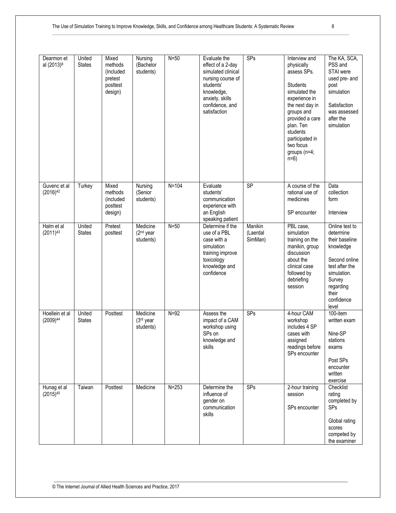| Dearmon et<br>al (2013) <sup>8</sup> | United<br><b>States</b> | Mixed<br>methods<br>(Included<br>pretest<br>posttest<br>design) | Nursing<br>(Bachelor<br>students)              | $N = 50$  | Evaluate the<br>effect of a 2-day<br>simulated clinical<br>nursing course of<br>students'<br>knowledge,<br>anxiety, skills<br>confidence, and<br>satisfaction | SPs                            | Interview and<br>physically<br>assess SPs.<br><b>Students</b><br>simulated the<br>experience in<br>the next day in<br>groups and                 | The KA, SCA,<br>PSS and<br>STAI were<br>used pre- and<br>post<br>simulation<br>Satisfaction<br>was assessed<br>after the                                            |
|--------------------------------------|-------------------------|-----------------------------------------------------------------|------------------------------------------------|-----------|---------------------------------------------------------------------------------------------------------------------------------------------------------------|--------------------------------|--------------------------------------------------------------------------------------------------------------------------------------------------|---------------------------------------------------------------------------------------------------------------------------------------------------------------------|
|                                      |                         |                                                                 |                                                |           |                                                                                                                                                               |                                | provided a care<br>plan. Ten<br>students<br>participated in<br>two focus<br>groups (n=4;<br>$n=6$                                                | simulation                                                                                                                                                          |
| Guvenc et al<br>$(2016)^{42}$        | Turkey                  | Mixed<br>methods<br>(included<br>posttest<br>design)            | Nursing<br>(Senior<br>students)                | $N=104$   | Evaluate<br>students'<br>communication<br>experience with<br>an English<br>speaking patient                                                                   | SP                             | A course of the<br>rational use of<br>medicines<br>SP encounter                                                                                  | Data<br>collection<br>form<br>Interview                                                                                                                             |
| Halm et al<br>$(2011)^{43}$          | United<br><b>States</b> | Pretest<br>posttest                                             | Medicine<br>$(2nd$ year<br>students)           | $N=50$    | Determine if the<br>use of a PBL<br>case with a<br>simulation<br>training improve<br>toxicology<br>knowledge and<br>confidence                                | Manikin<br>(Laerdal<br>SimMan) | PBL case,<br>simulation<br>training on the<br>manikin, group<br>discussion<br>about the<br>clinical case<br>followed by<br>debriefing<br>session | Online test to<br>determine<br>their baseline<br>knowledge<br>Second online<br>test after the<br>simulation.<br>Survey<br>regarding<br>their<br>confidence<br>level |
| Hoellein et al<br>$(2009)^{44}$      | United<br><b>States</b> | Posttest                                                        | Medicine<br>(3 <sup>rd</sup> year<br>students) | $N=92$    | Assess the<br>impact of a CAM<br>workshop using<br>SPs on<br>knowledge and<br>skills                                                                          | SPs                            | 4-hour CAM<br>workshop<br>includes 4 SP<br>cases with<br>assigned<br>readings before<br>SPs encounter                                            | 100-item<br>written exam<br>Nine-SP<br>stations<br>exams<br>Post SPs<br>encounter<br>written<br>exercise                                                            |
| Hunag et al<br>$(2015)^{45}$         | Taiwan                  | Posttest                                                        | Medicine                                       | $N = 253$ | Determine the<br>influence of<br>gender on<br>communication<br>skills                                                                                         | SPs                            | 2-hour training<br>session<br>SPs encounter                                                                                                      | Checklist<br>rating<br>completed by<br><b>SPs</b><br>Global rating<br>scores<br>competed by<br>the examiner                                                         |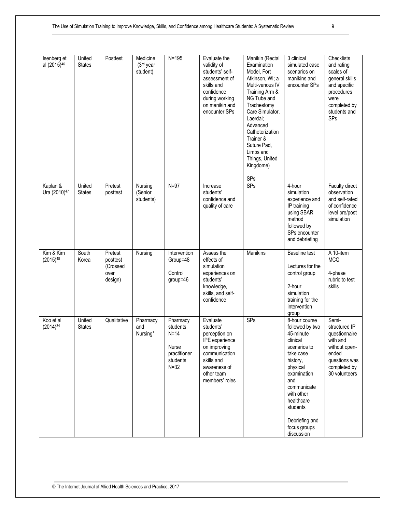| Isenberg et<br>al (2015) <sup>46</sup> | United<br><b>States</b> | Posttest                                           | Medicine<br>(3 <sup>rd</sup> year<br>student) | $N = 195$                                                                       | Evaluate the<br>validity of<br>students' self-<br>assessment of<br>skills and<br>confidence<br>during working<br>on manikin and<br>encounter SPs        | Manikin (Rectal<br>Examination<br>Model, Fort<br>Atkinson, WI; a<br>Multi-venous IV<br>Training Arm &<br>NG Tube and<br>Trachestomy<br>Care Simulator,<br>Laerdal:<br>Advanced<br>Catheterization<br>Trainer &<br>Suture Pad,<br>Limbs and<br>Things, United<br>Kingdome)<br>SPs | 3 clinical<br>simulated case<br>scenarios on<br>manikins and<br>encounter SPs                                                                                                               | Checklists<br>and rating<br>scales of<br>general skills<br>and specific<br>procedures<br>were<br>completed by<br>students and<br><b>SPs</b> |
|----------------------------------------|-------------------------|----------------------------------------------------|-----------------------------------------------|---------------------------------------------------------------------------------|---------------------------------------------------------------------------------------------------------------------------------------------------------|----------------------------------------------------------------------------------------------------------------------------------------------------------------------------------------------------------------------------------------------------------------------------------|---------------------------------------------------------------------------------------------------------------------------------------------------------------------------------------------|---------------------------------------------------------------------------------------------------------------------------------------------|
| Kaplan &<br>Ura (2010) <sup>47</sup>   | United<br><b>States</b> | Pretest<br>posttest                                | Nursing<br>(Senior<br>students)               | $N=97$                                                                          | Increase<br>students'<br>confidence and<br>quality of care                                                                                              | SPs                                                                                                                                                                                                                                                                              | 4-hour<br>simulation<br>experience and<br>IP training<br>using SBAR<br>method<br>followed by<br>SPs encounter<br>and debriefing                                                             | Faculty direct<br>observation<br>and self-rated<br>of confidence<br>level pre/post<br>simulation                                            |
| Kim & Kim<br>$(2015)^{48}$             | South<br>Korea          | Pretest<br>posttest<br>(Crossed<br>over<br>design) | Nursing                                       | Intervention<br>Group=48<br>Control<br>$group=46$                               | Assess the<br>effects of<br>simulation<br>experiences on<br>students'<br>knowledge,<br>skills, and self-<br>confidence                                  | Manikins                                                                                                                                                                                                                                                                         | <b>Baseline test</b><br>Lectures for the<br>control group<br>2-hour<br>simulation<br>training for the<br>intervention<br>group                                                              | A 10-item<br><b>MCQ</b><br>4-phase<br>rubric to test<br>skills                                                                              |
| Koo et al<br>$(2014)^{34}$             | United<br><b>States</b> | Qualitative                                        | Pharmacy<br>and<br>Nursing*                   | Pharmacy<br>students<br>$N=14$<br>Nurse<br>practitioner<br>students<br>$N = 32$ | Evaluate<br>students'<br>perception on<br>IPE experience<br>on improving<br>communication<br>skills and<br>awareness of<br>other team<br>members' roles | SPs                                                                                                                                                                                                                                                                              | 8-hour course<br>followed by two<br>45-minute<br>clinical<br>scenarios to<br>take case<br>history,<br>physical<br>examination<br>and<br>communicate<br>with other<br>healthcare<br>students | Semi-<br>structured IP<br>questionnaire<br>with and<br>without open-<br>ended<br>questions was<br>completed by<br>30 volunteers             |

Debriefing and focus groups discussion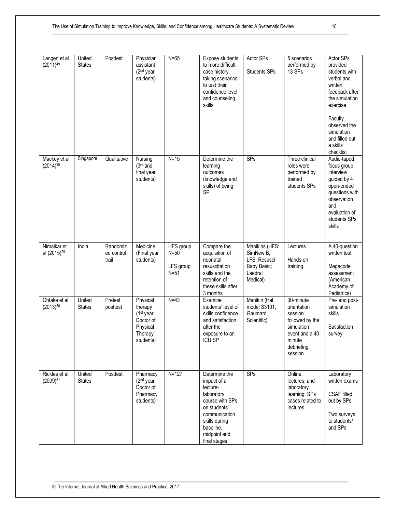| Langen et al<br>$(2011)^{49}$          | United<br><b>States</b> | Posttest                        | Physician<br>assistant<br>(2 <sup>nd</sup> year<br>students)                        | $N=65$                                     | Expose students<br>to more difficult<br>case history<br>taking scenarios<br>to test their<br>confidence level<br>and counseling<br>skills                                | Actor SPs<br><b>Students SPs</b>                                                  | 5 scenarios<br>performed by<br>13 SPs                                                                                      | Actor SPs<br>provided<br>students with<br>verbal and<br>written<br>feedback after<br>the simulation<br>exercise<br>Faculty<br>observed the<br>simulation<br>and filled out<br>a skills |
|----------------------------------------|-------------------------|---------------------------------|-------------------------------------------------------------------------------------|--------------------------------------------|--------------------------------------------------------------------------------------------------------------------------------------------------------------------------|-----------------------------------------------------------------------------------|----------------------------------------------------------------------------------------------------------------------------|----------------------------------------------------------------------------------------------------------------------------------------------------------------------------------------|
| Mackey et al<br>$(2014)^{35}$          | Singapore               | Qualitative                     | Nursing<br>$(3rd$ and<br>final year<br>students)                                    | $N=15$                                     | Determine the<br>learning<br>outcomes<br>(knowledge and<br>skills) of being<br><b>SP</b>                                                                                 | SPs                                                                               | Three clinical<br>roles were<br>performed by<br>trained<br>students SPs                                                    | checklist<br>Audio-taped<br>focus group<br>interview<br>guided by 4<br>open-ended<br>questions with<br>observation<br>and<br>evaluation of<br>students SPs<br>skills                   |
| Nimalkar et<br>al (2015) <sup>29</sup> | India                   | Randomiz<br>ed control<br>trail | Medicine<br>(Final year<br>students)                                                | HFS group<br>$N=50$<br>LFS group<br>$N=51$ | Compare the<br>acquisition of<br>neonatal<br>resuscitation<br>skills and the<br>retention of<br>these skills after<br>3 months                                           | Manikins (HFS:<br>SimNew B;<br>LFS: Resusci<br>Baby Basic;<br>Laedral<br>Medical) | Lectures<br>Hands-on<br>training                                                                                           | A 40-question<br>written test<br>Megacode<br>assessment<br>(American<br>Academy of<br>Pediatrics)                                                                                      |
| Ohtake et al<br>$(2013)^{50}$          | United<br><b>States</b> | Pretest<br>posttest             | Physical<br>therapy<br>$(1st$ year<br>Doctor of<br>Physical<br>Therapy<br>students) | $N=43$                                     | Examine<br>students' level of<br>skills confidence<br>and satisfaction<br>after the<br>exposure to an<br><b>ICU SP</b>                                                   | Manikin (Hal<br>model S3101,<br>Gaumard<br>Scientific)                            | 30-minute<br>orientation<br>session<br>followed by the<br>simulation<br>event and a 40-<br>minute<br>debriefing<br>session | Pre- and post-<br>simulation<br>skills<br>Satisfaction<br>survey                                                                                                                       |
| Rickles et al<br>$(2009)^{51}$         | United<br><b>States</b> | Posttest                        | Pharmacy<br>$(2nd$ year<br>Doctor of<br>Pharmacy<br>students)                       | $N=127$                                    | Determine the<br>impact of a<br>lecture-<br>laboratory<br>course with SPs<br>on students'<br>communication<br>skills during<br>baseline,<br>midpoint and<br>final stages | SPs                                                                               | Online,<br>lectures, and<br>laboratory<br>learning. SPs<br>cases related to<br>lectures                                    | Laboratory<br>written exams<br><b>CSAF</b> filled<br>out by SPs<br>Two surveys<br>to students/<br>and SPs                                                                              |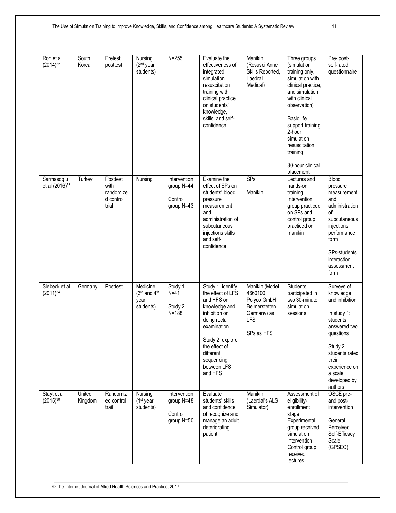| Roh et al<br>$(2014)^{52}$               | South<br>Korea    | Pretest<br>posttest                                 | Nursing<br>(2 <sup>nd</sup> year<br>students) | $N = 255$                                           | Evaluate the<br>effectiveness of<br>integrated<br>simulation<br>resuscitation<br>training with<br>clinical practice<br>on students'<br>knowledge,<br>skills, and self-<br>confidence                             | Manikin<br>(Resusci Anne<br>Skills Reported,<br>Laedral<br>Medical)                                     | Three groups<br>(simulation<br>training only,<br>simulation with<br>clinical practice,<br>and simulation<br>with clinical<br>observation)<br>Basic life<br>support training<br>2-hour<br>simulation<br>resuscitation<br>training<br>80-hour clinical<br>placement | Pre-post-<br>self-rated<br>questionnaire                                                                                                                                                        |
|------------------------------------------|-------------------|-----------------------------------------------------|-----------------------------------------------|-----------------------------------------------------|------------------------------------------------------------------------------------------------------------------------------------------------------------------------------------------------------------------|---------------------------------------------------------------------------------------------------------|-------------------------------------------------------------------------------------------------------------------------------------------------------------------------------------------------------------------------------------------------------------------|-------------------------------------------------------------------------------------------------------------------------------------------------------------------------------------------------|
| Sarmasoglu<br>et al (2016) <sup>53</sup> | Turkey            | Posttest<br>with<br>randomize<br>d control<br>trial | Nursing                                       | Intervention<br>group N=44<br>Control<br>group N=43 | Examine the<br>effect of SPs on<br>students' blood<br>pressure<br>measurement<br>and<br>administration of<br>subcutaneous<br>injections skills<br>and self-<br>confidence                                        | SPs<br>Manikin                                                                                          | Lectures and<br>hands-on<br>training<br>Intervention<br>group practiced<br>on SPs and<br>control group<br>practiced on<br>manikin                                                                                                                                 | Blood<br>pressure<br>measurement<br>and<br>administration<br>οf<br>subcutaneous<br>injections<br>performance<br>form<br>SPs-students<br>interaction<br>assessment<br>form                       |
| Siebeck et al<br>$(2011)^{54}$           | Germany           | Posttest                                            | Medicine<br>(3rd and 4th<br>year<br>students) | Study 1:<br>$N=41$<br>Study 2:<br>$N = 188$         | Study 1: identify<br>the effect of LFS<br>and HFS on<br>knowledge and<br>inhibition on<br>doing rectal<br>examination.<br>Study 2: explore<br>the effect of<br>different<br>sequencing<br>between LFS<br>and HFS | Manikin (Model<br>4660100,<br>Polyco GmbH,<br>Beimerstetten,<br>Germany) as<br><b>LFS</b><br>SPs as HFS | <b>Students</b><br>participated in<br>two 30-minute<br>simulation<br>sessions                                                                                                                                                                                     | Surveys of<br>knowledge<br>and inhibition<br>In study 1:<br>students<br>answered two<br>questions<br>Study 2:<br>students rated<br>their<br>experience on<br>a scale<br>developed by<br>authors |
| Stayt et al<br>$(2015)^{30}$             | United<br>Kingdom | Randomiz<br>ed control<br>trail                     | Nursing<br>$(1st$ year<br>students)           | Intervention<br>group N=48<br>Control<br>group N=50 | Evaluate<br>students' skills<br>and confidence<br>of recognize and<br>manage an adult<br>deteriorating<br>patient                                                                                                | Manikin<br>(Laerdal's ALS<br>Simulator)                                                                 | Assessment of<br>eligibility-<br>enrollment<br>stage<br>Experimental<br>group received<br>simulation<br>intervention<br>Control group<br>received<br>lectures                                                                                                     | OSCE pre-<br>and post-<br>intervention<br>General<br>Perceived<br>Self-Efficacy<br>Scale<br>(GPSEC)                                                                                             |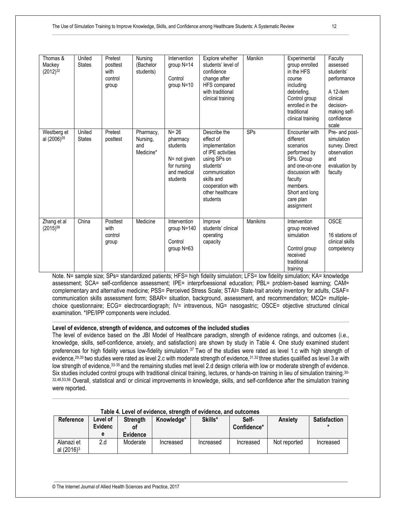| Thomas &<br>Mackey<br>$(2012)^{32}$    | United<br><b>States</b> | Pretest<br>posttest<br>with<br>control<br>group | Nursing<br>(Bachelor<br>students)         | Intervention<br>group N=14<br>Control<br>group N=10                                        | Explore whether<br>students' level of<br>confidence<br>change after<br>HFS compared<br>with traditional<br>clinical training                                                     | Manikin         | Experimental<br>group enrolled<br>in the HFS<br>course<br>including<br>debriefing.<br>Control group<br>enrolled in the<br>traditional<br>clinical training                      | Faculty<br>assessed<br>students'<br>performance<br>A 12-item<br>clinical<br>decision-<br>making self-<br>confidence<br>scale |
|----------------------------------------|-------------------------|-------------------------------------------------|-------------------------------------------|--------------------------------------------------------------------------------------------|----------------------------------------------------------------------------------------------------------------------------------------------------------------------------------|-----------------|---------------------------------------------------------------------------------------------------------------------------------------------------------------------------------|------------------------------------------------------------------------------------------------------------------------------|
| Westberg et<br>al (2006) <sup>55</sup> | United<br><b>States</b> | Pretest<br>posttest                             | Pharmacy,<br>Nursing,<br>and<br>Medicine* | $N = 26$<br>pharmacy<br>students<br>N= not given<br>for nursing<br>and medical<br>students | Describe the<br>effect of<br>implementation<br>of IPE activities<br>using SPs on<br>students'<br>communication<br>skills and<br>cooperation with<br>other healthcare<br>students | SPs             | Encounter with<br>different<br>scenarios<br>performed by<br>SPs. Group<br>and one-on-one<br>discussion with<br>faculty<br>members.<br>Short and long<br>care plan<br>assignment | Pre- and post-<br>simulation<br>survey. Direct<br>observation<br>and<br>evaluation by<br>faculty                             |
| Zhang et al<br>$(2015)^{56}$           | China                   | Posttest<br>with<br>control<br>group            | Medicine                                  | Intervention<br>group $N = 140$<br>Control<br>group N=63                                   | Improve<br>students' clinical<br>operating<br>capacity                                                                                                                           | <b>Manikins</b> | Intervention<br>group received<br>simulation<br>Control group<br>received<br>traditional<br>training                                                                            | <b>OSCE</b><br>16 stations of<br>clinical skills<br>competency                                                               |

Note. N= sample size; SPs= standardized patients; HFS= high fidelity simulation; LFS= low fidelity simulation; KA= knowledge assessment; SCA= self-confidence assessment; IPE= interprfoessional education; PBL= problem-based learning; CAM= complementary and alternative medicine; PSS= Perceived Stress Scale; STAI= State-trait anxiety inventory for adults, CSAF= communication skills assessment form; SBAR= situation, background, assessment, and recommendation; MCQ= multiplechoice questionnaire; ECG= electrocardiograph; IV= intravenous, NG= nasogastric; OSCE= objective structured clinical examination. \*IPE/IPP components were included.

# **Level of evidence, strength of evidence, and outcomes of the included studies**

The level of evidence based on the JBI Model of Healthcare paradigm, strength of evidence ratings, and outcomes (i.e., knowledge, skills, self-confidence, anxiety, and satisfaction) are shown by study in Table 4. One study examined student preferences for high fidelity versus low-fidelity simulation.<sup>37</sup> Two of the studies were rated as level 1.c with high strength of evidence,<sup>29,30</sup> two studies were rated as level 2.c with moderate strength of evidence,<sup>31,32</sup> three studies qualified as level 3.e with low strength of evidence,33-35 and the remaining studies met level 2.d design criteria with low or moderate strength of evidence. Six studies included control groups with traditional clinical training, lectures, or hands-on training in lieu of simulation training. 30-32,48,53,56 Overall, statistical and/ or clinical improvements in knowledge, skills, and self-confidence after the simulation training were reported.

|                                      | rable 4. Lever of evidence, strength of evidence, and outcomes |                                          |            |           |                      |                |                     |  |  |  |  |
|--------------------------------------|----------------------------------------------------------------|------------------------------------------|------------|-----------|----------------------|----------------|---------------------|--|--|--|--|
| Reference                            | Level of<br>Evidenc<br>е                                       | <b>Strength</b><br>٥t<br><b>Evidence</b> | Knowledge* | Skills*   | Self-<br>Confidence* | <b>Anxiety</b> | <b>Satisfaction</b> |  |  |  |  |
| Alanazi et<br>al (2016) <sup>3</sup> | 2.d                                                            | Moderate                                 | Increased  | Increased | Increased            | Not reported   | Increased           |  |  |  |  |

# **Table 4. Level of evidence, strength of evidence, and outcomes**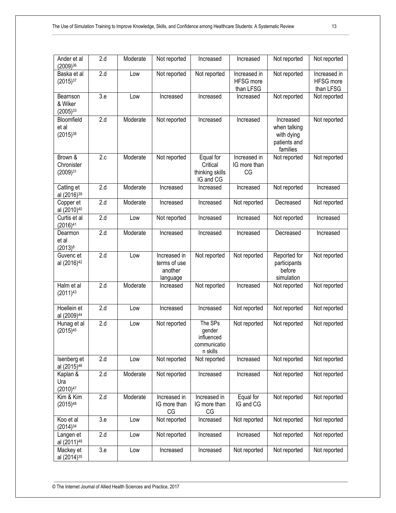| Ander et al<br>(2009)36                | 2.d              | Moderate   | Not reported                                        | Increased                                                   | Increased                                     | Not reported                                                        | Not reported                           |
|----------------------------------------|------------------|------------|-----------------------------------------------------|-------------------------------------------------------------|-----------------------------------------------|---------------------------------------------------------------------|----------------------------------------|
| Baska et al<br>$(2015)^{37}$           | $\overline{2.d}$ | <b>Low</b> | Not reported                                        | Not reported                                                | Increased in<br><b>HFSG</b> more<br>than LFSG | Not reported                                                        | Increased in<br>HFSG more<br>than LFSG |
| Bearnson<br>& Wiker<br>$(2005)^{33}$   | 3.e              | Low        | Increased                                           | Increased                                                   | Increased                                     | Not reported                                                        | Not reported                           |
| Bloomfield<br>et al<br>$(2015)^{38}$   | 2.d              | Moderate   | Not reported                                        | Increased                                                   | Increased                                     | Increased<br>when talking<br>with dying<br>patients and<br>families | Not reported                           |
| Brown &<br>Chronister<br>$(2009)^{31}$ | 2.c              | Moderate   | Not reported                                        | Equal for<br>Critical<br>thinking skills<br>IG and CG       | Increased in<br>IG more than<br>CG            | Not reported                                                        | Not reported                           |
| Catling et<br>al (2016) <sup>39</sup>  | 2.d              | Moderate   | Increased                                           | Increased                                                   | Increased                                     | Not reported                                                        | Increased                              |
| Copper et<br>al (2010) <sup>40</sup>   | $\overline{2.d}$ | Moderate   | Increased                                           | Increased                                                   | Not reported                                  | Decreased                                                           | Not reported                           |
| Curtis et al<br>(2016) <sup>41</sup>   | 2.d              | Low        | Not reported                                        | Increased                                                   | Increased                                     | Not reported                                                        | Increased                              |
| Dearmon<br>et al<br>$(2013)^8$         | 2.d              | Moderate   | Increased                                           | Increased                                                   | Increased                                     | Decreased                                                           | Increased                              |
| Guvenc et<br>al (2016) <sup>42</sup>   | 2.d              | Low        | Increased in<br>terms of use<br>another<br>language | Not reported                                                | Not reported                                  | Reported for<br>participants<br>before<br>simulation                | Not reported                           |
| Halm et al<br>$(2011)^{43}$            | $\overline{2.d}$ | Moderate   | Increased                                           | Not reported                                                | Increased                                     | Not reported                                                        | Not reported                           |
| Hoellein et<br>al (2009) <sup>44</sup> | $\overline{2.d}$ | <b>Low</b> | Increased                                           | Increased                                                   | Not reported                                  | Not reported                                                        | Not reported                           |
| Hunag et al<br>$(2015)^{45}$           | 2.d              | <b>Low</b> | Not reported                                        | The SPs<br>gender<br>influenced<br>communicatio<br>n skills | Not reported                                  | Not reported                                                        | Not reported                           |
| Isenberg et<br>al (2015) <sup>46</sup> | 2.d              | Low        | Not reported                                        | Not reported                                                | Increased                                     | Not reported                                                        | Not reported                           |
| Kaplan &<br>Ura<br>$(2010)^{47}$       | 2.d              | Moderate   | Not reported                                        | Increased                                                   | Increased                                     | Not reported                                                        | Not reported                           |
| Kim & Kim<br>$(2015)^{48}$             | $\overline{2.d}$ | Moderate   | Increased in<br>IG more than<br>CG                  | Increased in<br>IG more than<br>CG                          | Equal for<br>IG and CG                        | Not reported                                                        | Not reported                           |
| Koo et al<br>$(2014)^{34}$             | 3.e              | Low        | Not reported                                        | Increased                                                   | Not reported                                  | Not reported                                                        | Not reported                           |
| Langen et<br>al (2011) <sup>49</sup>   | 2.d              | Low        | Not reported                                        | Increased                                                   | Increased                                     | Not reported                                                        | Not reported                           |
| Mackey et<br>al (2014) <sup>35</sup>   | 3.e              | Low        | Increased                                           | Increased                                                   | Not reported                                  | Not reported                                                        | Not reported                           |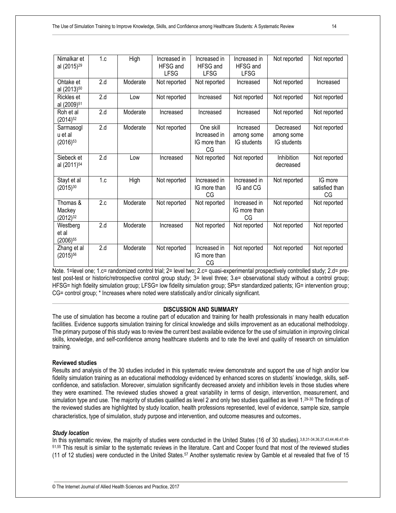| Nimalkar et<br>al (2015) <sup>29</sup> | 1.c              | High     | Increased in<br>HFSG and<br><b>LFSG</b> | Increased in<br><b>HFSG</b> and<br><b>LFSG</b>  | Increased in<br><b>HFSG</b> and<br><b>LFSG</b> | Not reported                           | Not reported                    |
|----------------------------------------|------------------|----------|-----------------------------------------|-------------------------------------------------|------------------------------------------------|----------------------------------------|---------------------------------|
| Ohtake et<br>al (2013) <sup>50</sup>   | 2.d              | Moderate | Not reported                            | Not reported                                    | Increased                                      | Not reported                           | Increased                       |
| Rickles et<br>al (2009) <sup>51</sup>  | 2.d              | Low      | Not reported                            | Increased                                       | Not reported                                   | Not reported                           | Not reported                    |
| Roh et al<br>$(2014)^{52}$             | $\overline{2.d}$ | Moderate | Increased                               | Increased                                       | Increased                                      | Not reported                           | Not reported                    |
| Sarmasogl<br>u et al<br>$(2016)^{53}$  | 2.d              | Moderate | Not reported                            | One skill<br>Increased in<br>IG more than<br>CG | Increased<br>among some<br>IG students         | Decreased<br>among some<br>IG students | Not reported                    |
| Siebeck et<br>al (2011) <sup>54</sup>  | 2.d              | Low      | Increased                               | Not reported                                    | Not reported                                   | Inhibition<br>decreased                | Not reported                    |
| Stayt et al<br>$(2015)^{30}$           | 1.c              | High     | Not reported                            | Increased in<br>IG more than<br>CG              | Increased in<br>IG and CG                      | Not reported                           | IG more<br>satisfied than<br>CG |
| Thomas &<br>Mackey<br>$(2012)^{32}$    | 2.c              | Moderate | Not reported                            | Not reported                                    | Increased in<br>IG more than<br>CG             | Not reported                           | Not reported                    |
| Westberg<br>et al<br>$(2006)^{55}$     | 2.d              | Moderate | Increased                               | Not reported                                    | Not reported                                   | Not reported                           | Not reported                    |
| Zhang et al<br>$(2015)^{56}$           | 2.d              | Moderate | Not reported                            | Increased in<br>IG more than<br>CG              | Not reported                                   | Not reported                           | Not reported                    |

Note. 1=level one; 1.c= randomized control trial; 2= level two; 2.c= quasi-experimental prospectively controlled study; 2.d= pretest post-test or historic/retrospective control group study; 3= level three; 3.e= observational study without a control group; HFSG= high fidelity simulation group; LFSG= low fidelity simulation group; SPs= standardized patients; IG= intervention group; CG= control group; \* Increases where noted were statistically and/or clinically significant.

# **DISCUSSION AND SUMMARY**

The use of simulation has become a routine part of education and training for health professionals in many health education facilities. Evidence supports simulation training for clinical knowledge and skills improvement as an educational methodology. The primary purpose of this study was to review the current best available evidence for the use of simulation in improving clinical skills, knowledge, and self-confidence among healthcare students and to rate the level and quality of research on simulation training.

# **Reviewed studies**

Results and analysis of the 30 studies included in this systematic review demonstrate and support the use of high and/or low fidelity simulation training as an educational methodology evidenced by enhanced scores on students' knowledge, skills, selfconfidence, and satisfaction. Moreover, simulation significantly decreased anxiety and inhibition levels in those studies where they were examined. The reviewed studies showed a great variability in terms of design, intervention, measurement, and simulation type and use. The majority of studies qualified as level 2 and only two studies qualified as level 1.29-30 The findings of the reviewed studies are highlighted by study location, health professions represented, level of evidence, sample size, sample characteristics, type of simulation, study purpose and intervention, and outcome measures and outcomes.

# *Study location*

In this systematic review, the majority of studies were conducted in the United States (16 of 30 studies). 3,8,31-34,36,37,43,44,46,47,49-51,55 This result is similar to the systematic reviews in the literature. Cant and Cooper found that most of the reviewed studies (11 of 12 studies) were conducted in the United States.<sup>57</sup> Another systematic review by Gamble et al revealed that five of 15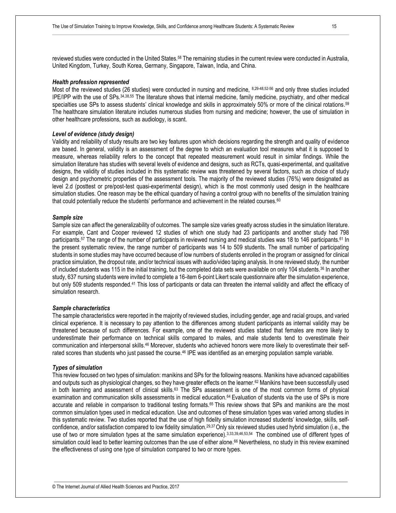reviewed studies were conducted in the United States.<sup>58</sup> The remaining studies in the current review were conducted in Australia, United Kingdom, Turkey, South Korea, Germany, Singapore, Taiwan, India, and China.

#### *Health profession represented*

Most of the reviewed studies (26 studies) were conducted in nursing and medicine, 8,29-48,52-56 and only three studies included IPE/IPP with the use of SPs.34,38,55 The literature shows that internal medicine, family medicine, psychiatry, and other medical specialties use SPs to assess students' clinical knowledge and skills in approximately 50% or more of the clinical rotations. 59 The healthcare simulation literature includes numerous studies from nursing and medicine; however, the use of simulation in other healthcare professions, such as audiology, is scant.

#### *Level of evidence (study design)*

Validity and reliability of study results are two key features upon which decisions regarding the strength and quality of evidence are based. In general, validity is an assessment of the degree to which an evaluation tool measures what it is supposed to measure, whereas reliability refers to the concept that repeated measurement would result in similar findings. While the simulation literature has studies with several levels of evidence and designs, such as RCTs, quasi-experimental, and qualitative designs, the validity of studies included in this systematic review was threatened by several factors, such as choice of study design and psychometric properties of the assessment tools. The majority of the reviewed studies (76%) were designated as level 2.d (posttest or pre/post-test quasi-experimental design), which is the most commonly used design in the healthcare simulation studies. One reason may be the ethical quandary of having a control group with no benefits of the simulation training that could potentially reduce the students' performance and achievement in the related courses.<sup>60</sup>

#### *Sample size*

Sample size can affect the generalizability of outcomes. The sample size varies greatly across studies in the simulation literature. For example, Cant and Cooper reviewed 12 studies of which one study had 23 participants and another study had 798 participants.<sup>57</sup> The range of the number of participants in reviewed nursing and medical studies was 18 to 146 participants.<sup>61</sup> In the present systematic review, the range number of participants was 14 to 509 students. The small number of participating students in some studies may have occurred because of low numbers of students enrolled in the program or assigned for clinical practice simulation, the dropout rate, and/or technical issues with audio/video taping analysis. In one reviewed study, the number of included students was 115 in the initial training, but the completed data sets were available on only 104 students.<sup>36</sup> In another study, 637 nursing students were invited to complete a 16-item 6-point Likert scale questionnaire after the simulation experience, but only 509 students responded.<sup>41</sup> This loss of participants or data can threaten the internal validity and affect the efficacy of simulation research.

#### *Sample characteristics*

The sample characteristics were reported in the majority of reviewed studies, including gender, age and racial groups, and varied clinical experience. It is necessary to pay attention to the differences among student participants as internal validity may be threatened because of such differences. For example, one of the reviewed studies stated that females are more likely to underestimate their performance on technical skills compared to males, and male students tend to overestimate their communication and interpersonal skills.<sup>46</sup> Moreover, students who achieved honors were more likely to overestimate their selfrated scores than students who just passed the course.<sup>46</sup> IPE was identified as an emerging population sample variable.

#### *Types of simulation*

This review focused on two types of simulation: manikins and SPs for the following reasons. Manikins have advanced capabilities and outputs such as physiological changes, so they have greater effects on the learner.<sup>62</sup> Manikins have been successfully used in both learning and assessment of clinical skills.<sup>63</sup> The SPs assessment is one of the most common forms of physical examination and communication skills assessments in medical education.64 Evaluation of students via the use of SPs is more accurate and reliable in comparison to traditional testing formats.65 This review shows that SPs and manikins are the most common simulation types used in medical education. Use and outcomes of these simulation types was varied among studies in this systematic review. Two studies reported that the use of high fidelity simulation increased students' knowledge, skills, selfconfidence, and/or satisfaction compared to low fidelity simulation.29,37 Only six reviewed studies used hybrid simulation (i.e., the use of two or more simulation types at the same simulation experience).3,33,39,46,53,54 The combined use of different types of simulation could lead to better learning outcomes than the use of either alone.<sup>66</sup> Nevertheless, no study in this review examined the effectiveness of using one type of simulation compared to two or more types.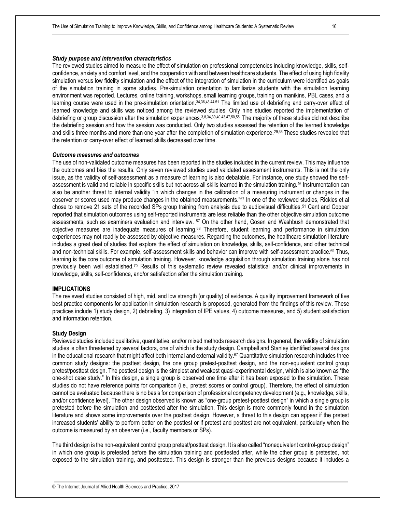#### *Study purpose and intervention characteristics*

The reviewed studies aimed to measure the effect of simulation on professional competencies including knowledge, skills, selfconfidence, anxiety and comfort level, and the cooperation with and between healthcare students. The effect of using high fidelity simulation versus low fidelity simulation and the effect of the integration of simulation in the curriculum were identified as goals of the simulation training in some studies. Pre-simulation orientation to familiarize students with the simulation learning environment was reported. Lectures, online training, workshops, small learning groups, training on manikins, PBL cases, and a learning course were used in the pre-simulation orientation.<sup>34,36,43,44,51</sup> The limited use of debriefing and carry-over effect of learned knowledge and skills was noticed among the reviewed studies. Only nine studies reported the implementation of debriefing or group discussion after the simulation experiences.3,8,34,39,40,43,47,50,55 The majority of these studies did not describe the debriefing session and how the session was conducted. Only two studies assessed the retention of the learned knowledge and skills three months and more than one year after the completion of simulation experience.<sup>29,36</sup> These studies revealed that the retention or carry-over effect of learned skills decreased over time.

#### *Outcome measures and outcomes*

The use of non-validated outcome measures has been reported in the studies included in the current review. This may influence the outcomes and bias the results. Only seven reviewed studies used validated assessment instruments. This is not the only issue, as the validity of self-assessment as a measure of learning is also debatable. For instance, one study showed the selfassessment is valid and reliable in specific skills but not across all skills learned in the simulation training.<sup>46</sup> Instrumentation can also be another threat to internal validity "in which changes in the calibration of a measuring instrument or changes in the observer or scores used may produce changes in the obtained measurements."<sup>67</sup> In one of the reviewed studies, Rickles et al chose to remove 21 sets of the recorded SPs group training from analysis due to audiovisual difficulties.<sup>51</sup> Cant and Copper reported that simulation outcomes using self-reported instruments are less reliable than the other objective simulation outcome assessments, such as examiners evaluation and interview. <sup>57</sup> On the other hand, Gosen and Washbush demonstrated that objective measures are inadequate measures of learning.<sup>68</sup> Therefore, student learning and performance in simulation experiences may not readily be assessed by objective measures. Regarding the outcomes, the healthcare simulation literature includes a great deal of studies that explore the effect of simulation on knowledge, skills, self-confidence, and other technical and non-technical skills. For example, self-assessment skills and behavior can improve with self-assessment practice.<sup>69</sup> Thus, learning is the core outcome of simulation training. However, knowledge acquisition through simulation training alone has not previously been well established.<sup>70</sup> Results of this systematic review revealed statistical and/or clinical improvements in knowledge, skills, self-confidence, and/or satisfaction after the simulation training.

### **IMPLICATIONS**

The reviewed studies consisted of high, mid, and low strength (or quality) of evidence. A quality improvement framework of five best practice components for application in simulation research is proposed, generated from the findings of this review. These practices include 1) study design, 2) debriefing, 3) integration of IPE values, 4) outcome measures, and 5) student satisfaction and information retention.

#### **Study Design**

Reviewed studies included qualitative, quantitative, and/or mixed methods research designs. In general, the validity of simulation studies is often threatened by several factors, one of which is the study design. Campbell and Stanley identified several designs in the educational research that might affect both internal and external validity.<sup>67</sup> Quantitative simulation research includes three common study designs: the posttest design, the one group pretest-posttest design, and the non-equivalent control group pretest/posttest design. The posttest design is the simplest and weakest quasi-experimental design, which is also known as "the one-shot case study." In this design, a single group is observed one time after it has been exposed to the simulation. These studies do not have reference points for comparison (i.e., pretest scores or control group). Therefore, the effect of simulation cannot be evaluated because there is no basis for comparison of professional competency development (e.g., knowledge, skills, and/or confidence level). The other design observed is known as "one-group pretest-posttest design" in which a single group is pretested before the simulation and posttested after the simulation. This design is more commonly found in the simulation literature and shows some improvements over the posttest design. However, a threat to this design can appear if the pretest increased students' ability to perform better on the posttest or if pretest and posttest are not equivalent, particularly when the outcome is measured by an observer (i.e., faculty members or SPs).

The third design is the non-equivalent control group pretest/posttest design. It is also called "nonequivalent control-group design" in which one group is pretested before the simulation training and posttested after, while the other group is pretested, not exposed to the simulation training, and posttested. This design is stronger than the previous designs because it includes a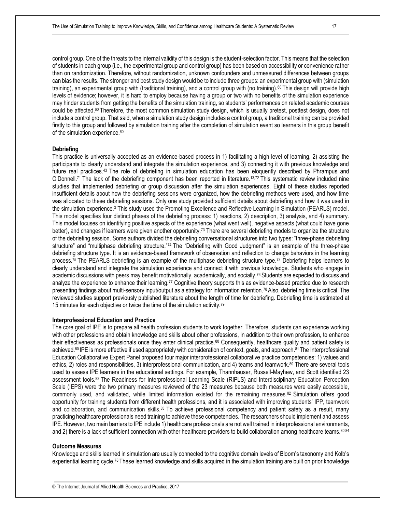control group. One of the threats to the internal validity of this design is the student-selection factor. This means that the selection of students in each group (i.e., the experimental group and control group) has been based on accessibility or convenience rather than on randomization. Therefore, without randomization, unknown confounders and unmeasured differences between groups can bias the results. The stronger and best study design would be to include three groups: an experimental group with (simulation training), an experimental group with (traditional training), and a control group with (no training).<sup>60</sup> This design will provide high levels of evidence; however, it is hard to employ because having a group or two with no benefits of the simulation experience may hinder students from getting the benefits of the simulation training, so students' performances on related academic courses could be affected.<sup>60</sup> Therefore, the most common simulation study design, which is usually pretest, posttest design, does not include a control group. That said, when a simulation study design includes a control group, a traditional training can be provided firstly to this group and followed by simulation training after the completion of simulation event so learners in this group benefit of the simulation experience.<sup>60</sup>

#### **Debriefing**

This practice is universally accepted as an evidence-based process in 1) facilitating a high level of learning, 2) assisting the participants to clearly understand and integrate the simulation experience, and 3) connecting it with previous knowledge and future real practices.43 The role of debriefing in simulation education has been eloquently described by Phrampus and O'Donnell.71 The lack of the debriefing component has been reported in literature.13,72 This systematic review included nine studies that implemented debriefing or group discussion after the simulation experiences. Eight of these studies reported insufficient details about how the debriefing sessions were organized, how the debriefing methods were used, and how time was allocated to these debriefing sessions. Only one study provided sufficient details about debriefing and how it was used in the simulation experience.<sup>3</sup> This study used the Promoting Excellence and Reflective Learning in Simulation (PEARLS) model. This model specifies four distinct phases of the debriefing process: 1) reactions, 2) description, 3) analysis, and 4) summary. This model focuses on identifying positive aspects of the experience (what went well), negative aspects (what could have gone better), and changes if learners were given another opportunity.<sup>73</sup> There are several debriefing models to organize the structure of the debriefing session. Some authors divided the debriefing conversational structures into two types: "three-phase debriefing structure" and "multiphase debriefing structure."74 The "Debriefing with Good Judgment" is an example of the three-phase debriefing structure type. It is an evidence-based framework of observation and reflection to change behaviors in the learning process.<sup>75</sup> The PEARLS debriefing is an example of the multiphase debriefing structure type.<sup>73</sup> Debriefing helps learners to clearly understand and integrate the simulation experience and connect it with previous knowledge. Students who engage in academic discussions with peers may benefit motivationally, academically, and socially.<sup>76</sup> Students are expected to discuss and analyze the experience to enhance their learning.<sup>77</sup> Cognitive theory supports this as evidence-based practice due to research presenting findings about multi-sensory input/output as a strategy for information retention.78 Also, debriefing time is critical. The reviewed studies support previously published literature about the length of time for debriefing. Debriefing time is estimated at 15 minutes for each objective or twice the time of the simulation activity.<sup>79</sup>

# **Interprofessional Education and Practice**

The core goal of IPE is to prepare all health profession students to work together. Therefore, students can experience working with other professions and obtain knowledge and skills about other professions, in addition to their own profession, to enhance their effectiveness as professionals once they enter clinical practice.<sup>80</sup> Consequently, healthcare quality and patient safety is achieved.<sup>80</sup> IPE is more effective if used appropriately with consideration of context, goals, and approach.<sup>81</sup> The Interprofessional Education Collaborative Expert Panel proposed four major interprofessional collaborative practice competencies: 1) values and ethics, 2) roles and responsibilities, 3) interprofessional communication, and 4) teams and teamwork.<sup>80</sup> There are several tools used to assess IPE learners in the educational settings. For example, Thannhauser, Russell-Mayhew, and Scott identified 23 assessment tools.82 The Readiness for Interprofessional Learning Scale (RIPLS) and Interdisciplinary Education Perception Scale (IEPS) were the two primary measures reviewed of the 23 measures because both measures were easily accessible, commonly used, and validated, while limited information existed for the remaining measures.<sup>82</sup> Simulation offers good opportunity for training students from different health professions, and it is associated with improving students' IPP, teamwork and collaboration, and communication skills.<sup>83</sup> To achieve professional competency and patient safety as a result, many practicing healthcare professionals need training to achieve these competencies. The researchers should implement and assess IPE. However, two main barriers to IPE include 1) healthcare professionals are not well trained in interprofessional environments, and 2) there is a lack of sufficient connection with other healthcare providers to build collaboration among healthcare teams. 80,84

#### **Outcome Measures**

Knowledge and skills learned in simulation are usually connected to the cognitive domain levels of Bloom's taxonomy and Kolb's experiential learning cycle.78 These learned knowledge and skills acquired in the simulation training are built on prior knowledge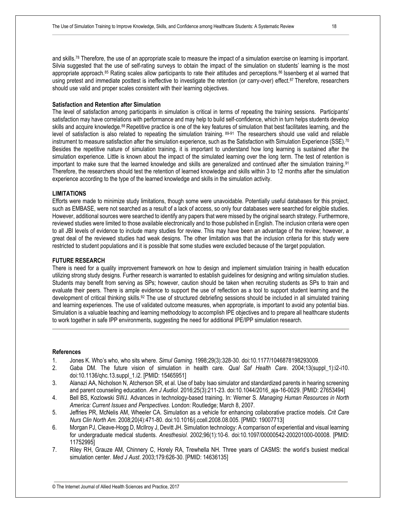and skills.<sup>78</sup> Therefore, the use of an appropriate scale to measure the impact of a simulation exercise on learning is important. Silvia suggested that the use of self-rating surveys to obtain the impact of the simulation on students' learning is the most appropriate approach.<sup>85</sup> Rating scales allow participants to rate their attitudes and perceptions.<sup>86</sup> Issenberg et al warned that using pretest and immediate posttest is ineffective to investigate the retention (or carry-over) effect.<sup>87</sup> Therefore, researchers should use valid and proper scales consistent with their learning objectives.

#### **Satisfaction and Retention after Simulation**

The level of satisfaction among participants in simulation is critical in terms of repeating the training sessions. Participants' satisfaction may have correlations with performance and may help to build self-confidence, which in turn helps students develop skills and acquire knowledge.<sup>88</sup> Repetitive practice is one of the key features of simulation that best facilitates learning, and the level of satisfaction is also related to repeating the simulation training. 89-91 The researchers should use valid and reliable instrument to measure satisfaction after the simulation experience, such as the Satisfaction with Simulation Experience (SSE).<sup>70</sup> Besides the repetitive nature of simulation training, it is important to understand how long learning is sustained after the simulation experience. Little is known about the impact of the simulated learning over the long term. The test of retention is important to make sure that the learned knowledge and skills are generalized and continued after the simulation training.<sup>91</sup> Therefore, the researchers should test the retention of learned knowledge and skills within 3 to 12 months after the simulation experience according to the type of the learned knowledge and skills in the simulation activity.

# **LIMITATIONS**

Efforts were made to minimize study limitations, though some were unavoidable. Potentially useful databases for this project, such as EMBASE, were not searched as a result of a lack of access, so only four databases were searched for eligible studies. However, additional sources were searched to identify any papers that were missed by the original search strategy. Furthermore, reviewed studies were limited to those available electronically and to those published in English. The inclusion criteria were open to all JBI levels of evidence to include many studies for review. This may have been an advantage of the review; however, a great deal of the reviewed studies had weak designs. The other limitation was that the inclusion criteria for this study were restricted to student populations and it is possible that some studies were excluded because of the target population.

# **FUTURE RESEARCH**

There is need for a quality improvement framework on how to design and implement simulation training in health education utilizing strong study designs. Further research is warranted to establish guidelines for designing and writing simulation studies. Students may benefit from serving as SPs; however, caution should be taken when recruiting students as SPs to train and evaluate their peers. There is ample evidence to support the use of reflection as a tool to support student learning and the development of critical thinking skills.<sup>92</sup> The use of structured debriefing sessions should be included in all simulated training and learning experiences. The use of validated outcome measures, when appropriate, is important to avoid any potential bias. Simulation is a valuable teaching and learning methodology to accomplish IPE objectives and to prepare all healthcare students to work together in safe IPP environments, suggesting the need for additional IPE/IPP simulation research.

#### **References**

- 1. Jones K. Who's who, who sits where. *Simul Gaming*. 1998;29(3):328-30. doi:10.1177/1046878198293009.
- 2. Gaba DM. The future vision of simulation in health care. *Qual Saf Health Care*. 2004;13(suppl\_1):i2-i10. doi:10.1136/qhc.13.suppl\_1.i2. [PMID: 15465951]
- 3. Alanazi AA, Nicholson N, Atcherson SR, et al. Use of baby Isao simulator and standardized parents in hearing screening and parent counseling education. *Am J Audiol*. 2016;25(3):211-23. doi:10.1044/2016\_aja-16-0029. [PMID: 27653494]
- 4. Bell BS, Kozlowski SWJ. Advances in technology-based training. In: Werner S. *Managing Human Resources in North America: Current Issues and Perspectives*. London: Routledge; March 8, 2007.
- 5. Jeffries PR, McNelis AM, Wheeler CA. Simulation as a vehicle for enhancing collaborative practice models. *Crit Care Nurs Clin North Am.* 2008;20(4):471-80. doi:10.1016/j.ccell.2008.08.005. [PMID: 19007713]
- 6. Morgan PJ, Cleave-Hogg D, McIlroy J, Devitt JH. Simulation technology: A comparison of experiential and visual learning for undergraduate medical students. *Anesthesiol*. 2002;96(1):10-6. doi:10.1097/00000542-200201000-00008. [PMID: 11752995]
- 7. Riley RH, Grauze AM, Chinnery C, Horely RA, Trewhella NH. Three years of CASMS: the world's busiest medical simulation center. *Med J Aust*. 2003;179:626-30. [PMID: 14636135]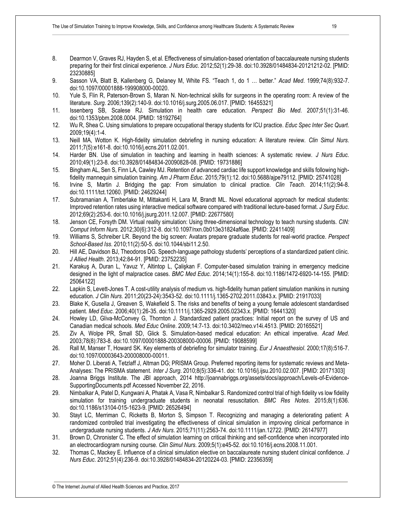- 8. Dearmon V, Graves RJ, Hayden S, et al. Effectiveness of simulation-based orientation of baccalaureate nursing students preparing for their first clinical experience. *J Nurs Educ*. 2012;52(1):29-38. doi:10.3928/01484834-20121212-02. [PMID: 23230885]
- 9. Sasson VA, Blatt B, Kallenberg G, Delaney M, White FS. "Teach 1, do 1 … better." *Acad Med*. 1999;74(8):932-7. doi:10.1097/00001888-199908000-00020.
- 10. Yule S, Flin R, Paterson-Brown S, Maran N. Non-technical skills for surgeons in the operating room: A review of the literature. *Surg*. 2006;139(2):140-9. doi:10.1016/j.surg.2005.06.017. [PMID: 16455321]
- 11. Issenberg SB, Scalese RJ. Simulation in health care education. *Perspect Bio Med*. 2007;51(1):31-46. doi:10.1353/pbm.2008.0004. [PMID: 18192764]
- 12. Wu R, Shea C. Using simulations to prepare occupational therapy students for ICU practice. *Educ Spec Inter Sec Quart*. 2009;19(4):1-4.
- 13. Neill MA, Wotton K. High-fidelity simulation debriefing in nursing education: A literature review. *Clin Simul Nurs*. 2011;7(5):e161-8. doi:10.1016/j.ecns.2011.02.001.
- 14. Harder BN. Use of simulation in teaching and learning in health sciences: A systematic review. *J Nurs Educ*. 2010;49(1):23-8. doi:10.3928/01484834-20090828-08. [PMID: 19731886]
- 15. Bingham AL, Sen S, Finn LA, Cawley MJ. Retention of advanced cardiac life support knowledge and skills following highfidelity mannequin simulation training. *Am J Pharm Educ*. 2015;79(1):12. doi:10.5688/ajpe79112. [PMID: 25741028]
- 16. Irvine S, Martin J. Bridging the gap: From simulation to clinical practice. *Clin Teach*. 2014;11(2):94-8. doi:10.1111/tct.12060. [PMID: 24629244]
- 17. Subramanian A, Timberlake M, Mittakanti H, Lara M, Brandt ML. Novel educational approach for medical students: Improved retention rates using interactive medical software compared with traditional lecture-based format. *J Surg Educ*. 2012;69(2):253-6. doi:10.1016/j.jsurg.2011.12.007. [PMID: 22677580]
- 18. Jenson CE, Forsyth DM. Virtual reality simulation: Using three-dimensional technology to teach nursing students. *CIN: Comput Inform Nurs*. 2012;30(6):312-8. doi:10.1097/nxn.0b013e31824af6ae. [PMID: 22411409]
- 19. Williams S, Schreiber LR. Beyond the big screen: Avatars prepare graduate students for real-world practice. *Perspect School-Based Iss*. 2010;11(2):50-5. doi:10.1044/sbi11.2.50.
- 20. Hill AE, Davidson BJ, Theodoros DG. Speech-language pathology students' perceptions of a standardized patient clinic. *J Allied Health*. 2013;42:84-91. [PMID: 23752235]
- 21. Karakuş A, Duran L, Yavuz Y, Altintop L, Çalişkan F. Computer-based simulation training in emergency medicine designed in the light of malpractice cases. *BMC Med Educ*. 2014;14(1):155-8. doi:10.1186/1472-6920-14-155. [PMID: 25064122]
- 22. Lapkin S, Levett-Jones T. A cost-utility analysis of medium vs. high-fidelity human patient simulation manikins in nursing education. *J Clin Nurs*. 2011;20(23-24):3543-52. doi:10.1111/j.1365-2702.2011.03843.x. [PMID: 21917033]
- 23. Blake K, Gusella J, Greaven S, Wakefield S. The risks and benefits of being a young female adolescent standardised patient. *Med Educ*. 2006;40(1):26-35. doi:10.1111/j.1365-2929.2005.02343.x. [PMID: 16441320]
- 24. Howley LD, Gliva-McConvey G, Thornton J. Standardized patient practices: Initial report on the survey of US and Canadian medical schools. *Med Educ Online*. 2009;14:7-13. doi:10.3402/meo.v14i.4513. [PMID: 20165521]
- 25. Ziv A, Wolpe PR, Small SD, Glick S. Simulation-based medical education: An ethical imperative. *Acad Med*. 2003;78(8):783-8. doi:10.1097/00001888-200308000-00006. [PMID: 19088599]
- 26. Rall M, Manser T, Howard SK. Key elements of debriefing for simulator training. *Eur J Anaesthesiol*. 2000;17(8):516-7. doi:10.1097/00003643-200008000-00011.
- 27. Moher D. Liberati A, Tetzlaff J, Altman DG; PRISMA Group. Preferred reporting items for systematic reviews and Meta-Analyses: The PRISMA statement. *Inter J Surg*. 2010;8(5):336-41. doi: 10.1016/j.ijsu.2010.02.007. [PMID: 20171303]
- 28. Joanna Briggs Institute. The JBI approach, 2014 http://joannabriggs.org/assets/docs/approach/Levels-of-Evidence-SupportingDocuments.pdf Accessed November 22, 2016.
- 29. Nimbalkar A, Patel D, Kungwani A, Phatak A, Vasa R, Nimbalkar S. Randomized control trial of high fidelity vs low fidelity simulation for training undergraduate students in neonatal resuscitation. *BMC Res Notes*. 2015;8(1):636. doi:10.1186/s13104-015-1623-9. [PMID: 26526494]
- 30. Stayt LC, Merriman C, Ricketts B, Morton S, Simpson T. Recognizing and managing a deteriorating patient: A randomized controlled trial investigating the effectiveness of clinical simulation in improving clinical performance in undergraduate nursing students. *J Adv Nurs*. 2015;71(11):2563-74. doi:10.1111/jan.12722. [PMID: 26147977]
- 31. Brown D, Chronister C. The effect of simulation learning on critical thinking and self-confidence when incorporated into an electrocardiogram nursing course. *Clin Simul Nurs*. 2009;5(1):e45-52. doi:10.1016/j.ecns.2008.11.001.
- 32. Thomas C, Mackey E. Influence of a clinical simulation elective on baccalaureate nursing student clinical confidence. *J Nurs Educ*. 2012;51(4):236-9. doi:10.3928/01484834-20120224-03. [PMID: 22356359]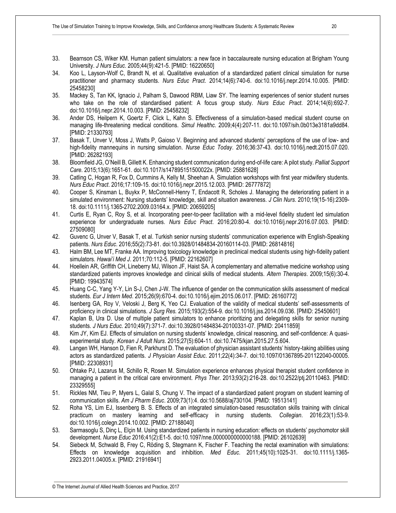- 33. Bearnson CS, Wiker KM. Human patient simulators: a new face in baccalaureate nursing education at Brigham Young University. *J Nurs Educ*. 2005;44(9):421-5. [PMID: 16220650]
- 34. Koo L, Layson-Wolf C, Brandt N, et al. Qualitative evaluation of a standardized patient clinical simulation for nurse practitioner and pharmacy students. *Nurs Educ Pract*. 2014;14(6):740-6. doi:10.1016/j.nepr.2014.10.005. [PMID: 25458230]
- 35. Mackey S, Tan KK, Ignacio J, Palham S, Dawood RBM, Liaw SY. The learning experiences of senior student nurses who take on the role of standardised patient: A focus group study. *Nurs Educ Pract*. 2014;14(6):692-7. doi:10.1016/j.nepr.2014.10.003. [PMID: 25458232]
- 36. Ander DS, Heilpern K, Goertz F, Click L, Kahn S. Effectiveness of a simulation-based medical student course on managing life-threatening medical conditions. *Simul Healthc*. 2009;4(4):207-11. doi:10.1097/sih.0b013e3181a9dd84. [PMID: 21330793]
- 37. Basak T, Unver V, Moss J, Watts P, Gaioso V. Beginning and advanced students' perceptions of the use of low- and high-fidelity mannequins in nursing simulation. *Nurse Educ Today*. 2016;36:37-43. doi:10.1016/j.nedt.2015.07.020. [PMID: 26282193]
- 38. Bloomfield JG, O'Neill B, Gillett K. Enhancing student communication during end-of-life care: A pilot study. *Palliat Support Care*. 2015;13(6):1651-61. doi:10.1017/s147895151500022x. [PMID: 25881628]
- 39. Catling C, Hogan R, Fox D, Cummins A, Kelly M, Sheehan A. Simulation workshops with first year midwifery students. *Nurs Educ Pract*. 2016;17:109-15. doi:10.1016/j.nepr.2015.12.003. [PMID: 26777872]
- 40. Cooper S, Kinsman L, Buykx P, McConnell-Henry T, Endacott R, Scholes J. Managing the deteriorating patient in a simulated environment: Nursing students' knowledge, skill and situation awareness. *J Clin Nurs*. 2010;19(15-16):2309- 18. doi:10.1111/j.1365-2702.2009.03164.x. [PMID: 20659205]
- 41. Curtis E, Ryan C, Roy S, et al. Incorporating peer-to-peer facilitation with a mid-level fidelity student led simulation experience for undergraduate nurses. *Nurs Educ Pract*. 2016;20:80-4. doi:10.1016/j.nepr.2016.07.003. [PMID: 27509080]
- 42. Guvenc G, Unver V, Basak T, et al. Turkish senior nursing students' communication experience with English-Speaking patients. *Nurs Educ*. 2016;55(2):73-81. doi:10.3928/01484834-20160114-03. [PMID: 26814816]
- 43. Halm BM, Lee MT, Franke AA. Improving toxicology knowledge in preclinical medical students using high-fidelity patient simulators. *Hawai'i Med J*. 2011;70:112-5. [PMID: 22162607]
- 44. Hoellein AR, Griffith CH, Lineberry MJ, Wilson JF, Haist SA. A complementary and alternative medicine workshop using standardized patients improves knowledge and clinical skills of medical students. *Altern Therapies*. 2009;15(6):30-4. [PMID: 19943574]
- 45. Huang C-C, Yang Y-Y, Lin S-J, Chen J-W. The influence of gender on the communication skills assessment of medical students. *Eur J Intern Med*. 2015;26(9):670-4. doi:10.1016/j.ejim.2015.06.017. [PMID: 26160772]
- 46. Isenberg GA, Roy V, Veloski J, Berg K, Yeo CJ. Evaluation of the validity of medical students' self-assessments of proficiency in clinical simulations. *J Surg Res.* 2015;193(2):554-9. doi:10.1016/j.jss.2014.09.036. [PMID: 25450601]
- 47. Kaplan B, Ura D. Use of multiple patient simulators to enhance prioritizing and delegating skills for senior nursing students. *J Nurs Educ*. 2010;49(7):371-7. doi:10.3928/01484834-20100331-07. [PMID: 20411859]
- 48. Kim JY, Kim EJ. Effects of simulation on nursing students' knowledge, clinical reasoning, and self-confidence: A quasiexperimental study. *Korean J Adult Nurs*. 2015;27(5):604-11. doi:10.7475/kjan.2015.27.5.604.
- 49. Langen WH, Hanson D, Fien R, Parkhurst D. The evaluation of physician assistant students' history-taking abilities using actors as standardized patients. *J Physician Assist Educ*. 2011;22(4):34-7. doi:10.1097/01367895-201122040-00005. [PMID: 22308931]
- 50. Ohtake PJ, Lazarus M, Schillo R, Rosen M. Simulation experience enhances physical therapist student confidence in managing a patient in the critical care environment. *Phys Ther*. 2013;93(2):216-28. doi:10.2522/ptj.20110463. [PMID: 23329555]
- 51. Rickles NM, Tieu P, Myers L, Galal S, Chung V. The impact of a standardized patient program on student learning of communication skills. *Am J Pharm Educ*. 2009;73(1):4. doi:10.5688/aj730104. [PMID: 19513141]
- 52. Roha YS, Lim EJ, Issenberg B. S. Effects of an integrated simulation-based resuscitation skills training with clinical practicum on mastery learning and self-efficacy in nursing students. *Collegian*. 2016;23(1):53-9. doi:10.1016/j.colegn.2014.10.002. [PMID: 27188040]
- 53. Sarmasoglu S, Dinç L, Elçin M. Using standardized patients in nursing education: effects on students' psychomotor skill development. *Nurse Educ* 2016;41(2):E1-5. doi:10.1097/nne.0000000000000188. [PMID: 26102639]
- 54. Siebeck M, Schwald B, Frey C, Röding S, Stegmann K, Fischer F. Teaching the rectal examination with simulations: Effects on knowledge acquisition and inhibition. *Med Educ*. 2011;45(10):1025-31. doi:10.1111/j.1365- 2923.2011.04005.x. [PMID: 21916941]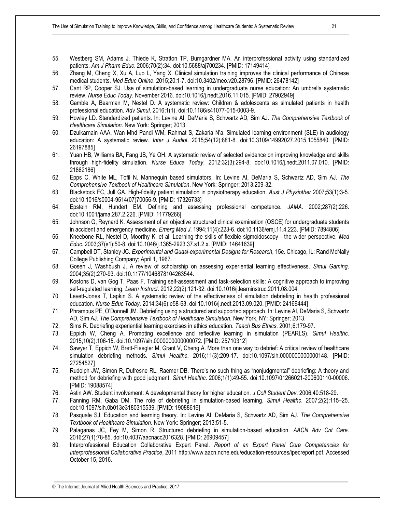- 55. Westberg SM, Adams J, Thiede K, Stratton TP, Bumgardner MA. An interprofessional activity using standardized patients. *Am J Pharm Educ*. 2006;70(2):34. doi:10.5688/aj700234. [PMID: 17149414]
- 56. Zhang M, Cheng X, Xu A, Luo L, Yang X. Clinical simulation training improves the clinical performance of Chinese medical students. *Med Educ Online*. 2015;20:1-7. doi:10.3402/meo.v20.28796. [PMID: 26478142]
- 57. Cant RP, Cooper SJ. Use of simulation-based learning in undergraduate nurse education: An umbrella systematic review. *Nurse Educ Today*. November 2016. doi:10.1016/j.nedt.2016.11.015. [PMID: 27902949]
- 58. Gamble A, Bearman M, Nestel D. A systematic review: Children & adolescents as simulated patients in health professional education. *Adv Simul*. 2016;1(1). doi:10.1186/s41077-015-0003-9.
- 59. Howley LD. Standardized patients. In: Levine AI, DeMaria S, Schwartz AD, Sim AJ. *The Comprehensive Textbook of Healthcare Simulation*. New York: Springer; 2013.
- 60. Dzulkarnain AAA, Wan Mhd Pandi WM, Rahmat S, Zakaria N'a. Simulated learning environment (SLE) in audiology education: A systematic review. *Inter J Audiol*. 2015;54(12):881-8. doi:10.3109/14992027.2015.1055840. [PMID: 26197885]
- 61. Yuan HB, Williams BA, Fang JB, Ye QH. A systematic review of selected evidence on improving knowledge and skills through high-fidelity simulation. *Nurse Educa Today*. 2012;32(3):294-8. doi:10.1016/j.nedt.2011.07.010. [PMID: 21862186]
- 62. Epps C, White ML, Tofil N. Mannequin based simulators. In: Levine AI, DeMaria S, Schwartz AD, Sim AJ. *The Comprehensive Textbook of Healthcare Simulation*. New York: Springer; 2013:209-32.
- 63. Blackstock FC, Jull GA. High-fidelity patient simulation in physiotherapy education. *Aust J Physiother* 2007;53(1):3-5. doi:10.1016/s0004-9514(07)70056-9. [PMID: 17326733]
- 64. Epstein RM, Hundert EM. Defining and assessing professional competence. *JAMA*. 2002;287(2):226. doi:10.1001/jama.287.2.226. [PMID: 11779266]
- 65. Johnson G, Reynard K. Assessment of an objective structured clinical examination (OSCE) for undergraduate students in accident and emergency medicine. *Emerg Med J*. 1994;11(4):223-6. doi:10.1136/emj.11.4.223. [PMID: 7894806]
- 66. Kneebone RL, Nestel D, Moorthy K, et al. Learning the skills of flexible sigmoidoscopy the wider perspective. *Med Educ*. 2003;37(s1):50-8. doi:10.1046/j.1365-2923.37.s1.2.x. [PMID: 14641639]
- 67. Campbell DT, Stanley JC. *Experimental and Quasi-experimental Designs for Research*, 15e. Chicago, IL: Rand McNally College Publishing Company; April 1, 1967.
- 68. Gosen J, Washbush J. A review of scholarship on assessing experiential learning effectiveness. *Simul Gaming*. 2004;35(2):270-93. doi:10.1177/1046878104263544.
- 69. Kostons D, van Gog T, Paas F. Training self-assessment and task-selection skills: A cognitive approach to improving self-regulated learning. *Learn Instruct*. 2012;22(2):121-32. doi:10.1016/j.learninstruc.2011.08.004.
- 70. Levett-Jones T, Lapkin S. A systematic review of the effectiveness of simulation debriefing in health professional education. *Nurse Educ Today*. 2014;34(6):e58-63. doi:10.1016/j.nedt.2013.09.020. [PMID: 24169444]
- 71. Phrampus PE, O'Donnell JM. Debriefing using a structured and supported approach. In: Levine AI, DeMaria S, Schwartz AD, Sim AJ. *The Comprehensive Textbook of Healthcare Simulation.* New York, NY: Springer; 2013.
- 72. Sims R. Debriefing experiential learning exercises in ethics education. *Teach Bus Ethics*. 2001;6:179-97.
- 73. Eppich W, Cheng A. Promoting excellence and reflective learning in simulation (PEARLS). *Simul Healthc*. 2015;10(2):106-15. doi:10.1097/sih.0000000000000072. [PMID: 25710312]
- 74. Sawyer T, Eppich W, Brett-Fleegler M, Grant V, Cheng A. More than one way to debrief: A critical review of healthcare simulation debriefing methods. *Simul Healthc*. 2016;11(3):209-17. doi:10.1097/sih.0000000000000148. [PMID: 27254527]
- 75. Rudolph JW, Simon R, Dufresne RL, Raemer DB. There's no such thing as "nonjudgmental" debriefing: A theory and method for debriefing with good judgment. *Simul Healthc*. 2006;1(1):49-55. doi:10.1097/01266021-200600110-00006. [PMID: 19088574]
- 76. Astin AW. Student involvement: A developmental theory for higher education. *J Coll Student Dev*. 2006;40:518-29.
- 77. Fanning RM, Gaba DM. The role of debriefing in simulation-based learning. *Simul Healthc*. 2007;2(2):115–25. doi:10.1097/sih.0b013e3180315539. [PMID: 19088616]
- 78. Pasquale SJ. Education and learning theory. In: Levine AI, DeMaria S, Schwartz AD, Sim AJ. *The Comprehensive Textbook of Healthcare Simulation*. New York: Springer; 2013:51-5.
- 79. Palaganas JC, Fey M, Simon R. Structured debriefing in simulation-based education. *AACN Adv Crit Care*. 2016;27(1):78-85. doi:10.4037/aacnacc2016328. [PMID: 26909457]
- 80. Interprofessional Education Collaborative Expert Panel. *Report of an Expert Panel Core Competencies for Interprofessional Collaborative Practice*, 2011 http://www.aacn.nche.edu/education-resources/ipecreport.pdf. Accessed October 15, 2016.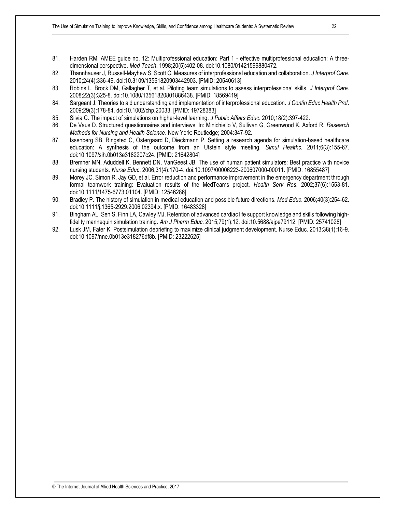- 81. Harden RM. AMEE guide no. 12: Multiprofessional education: Part 1 effective multiprofessional education: A threedimensional perspective. *Med Teach*. 1998;20(5):402-08. doi:10.1080/01421599880472.
- 82. Thannhauser J, Russell-Mayhew S, Scott C. Measures of interprofessional education and collaboration. *J Interprof Care*. 2010;24(4):336-49. doi:10.3109/13561820903442903. [PMID: 20540613]
- 83. Robins L, Brock DM, Gallagher T, et al. Piloting team simulations to assess interprofessional skills. *J Interprof Care*. 2008;22(3):325-8. doi:10.1080/13561820801886438. [PMID: 18569419]
- 84. Sargeant J. Theories to aid understanding and implementation of interprofessional education. *J Contin Educ Health Prof*. 2009;29(3):178-84. doi:10.1002/chp.20033. [PMID: 19728383]
- 85. Silvia C. The impact of simulations on higher-level learning. *J Public Affairs Educ*. 2010;18(2):397-422.
- 86. De Vaus D. Structured questionnaires and interviews. In: Minichiello V, Sullivan G, Greenwood K, Axford R. *Research Methods for Nursing and Health Science*. New York: Routledge; 2004:347-92.
- 87. Issenberg SB, Ringsted C, Ostergaard D, Dieckmann P. Setting a research agenda for simulation-based healthcare education: A synthesis of the outcome from an Utstein style meeting. *Simul Healthc.* 2011;6(3):155-67. doi:10.1097/sih.0b013e3182207c24. [PMID: 21642804]
- 88. Bremner MN, Aduddell K, Bennett DN, VanGeest JB. The use of human patient simulators: Best practice with novice nursing students. *Nurse Educ*. 2006;31(4):170-4. doi:10.1097/00006223-200607000-00011. [PMID: 16855487]
- 89. Morey JC, Simon R, Jay GD, et al. Error reduction and performance improvement in the emergency department through formal teamwork training: Evaluation results of the MedTeams project. *Health Serv Res*. 2002;37(6):1553-81. doi:10.1111/1475-6773.01104. [PMID: 12546286]
- 90. Bradley P. The history of simulation in medical education and possible future directions. *Med Educ*. 2006;40(3):254-62. doi:10.1111/j.1365-2929.2006.02394.x. [PMID: 16483328]
- 91. Bingham AL, Sen S, Finn LA, Cawley MJ. Retention of advanced cardiac life support knowledge and skills following highfidelity mannequin simulation training. *Am J Pharm Educ*. 2015;79(1):12. doi:10.5688/ajpe79112. [PMID: 25741028]
- 92. Lusk JM, Fater K. Postsimulation debriefing to maximize clinical judgment development. Nurse Educ. 2013;38(1):16-9. doi:10.1097/nne.0b013e318276df8b. [PMID: 23222625]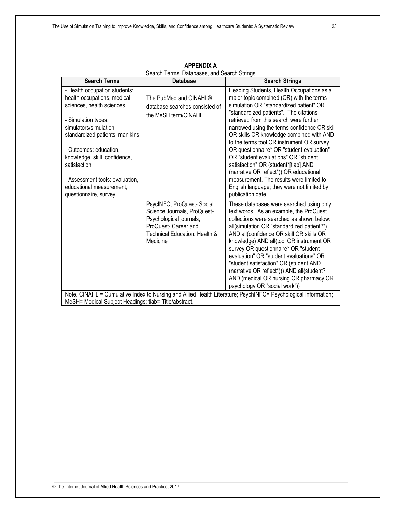| <b>Search Terms</b>                                                                                                                                                                                                                                                                                                                              | <b>Database</b>                                                                                                                                          | <b>Search Strings</b>                                                                                                                                                                                                                                                                                                                                                                                                                                                                                                                                                                                                                                 |  |  |  |  |
|--------------------------------------------------------------------------------------------------------------------------------------------------------------------------------------------------------------------------------------------------------------------------------------------------------------------------------------------------|----------------------------------------------------------------------------------------------------------------------------------------------------------|-------------------------------------------------------------------------------------------------------------------------------------------------------------------------------------------------------------------------------------------------------------------------------------------------------------------------------------------------------------------------------------------------------------------------------------------------------------------------------------------------------------------------------------------------------------------------------------------------------------------------------------------------------|--|--|--|--|
| - Health occupation students:<br>health occupations, medical<br>sciences, health sciences<br>- Simulation types:<br>simulators/simulation,<br>standardized patients, manikins<br>- Outcomes: education,<br>knowledge, skill, confidence,<br>satisfaction<br>- Assessment tools: evaluation,<br>educational measurement,<br>questionnaire, survey | The PubMed and CINAHL®<br>database searches consisted of<br>the MeSH term/CINAHL                                                                         | Heading Students, Health Occupations as a<br>major topic combined (OR) with the terms<br>simulation OR "standardized patient" OR<br>"standardized patients". The citations<br>retrieved from this search were further<br>narrowed using the terms confidence OR skill<br>OR skills OR knowledge combined with AND<br>to the terms tool OR instrument OR survey<br>OR questionnaire* OR "student evaluation"<br>OR "student evaluations" OR "student<br>satisfaction" OR (student*[tiab] AND<br>(narrative OR reflect*)) OR educational<br>measurement. The results were limited to<br>English language; they were not limited by<br>publication date. |  |  |  |  |
|                                                                                                                                                                                                                                                                                                                                                  | PsycINFO, ProQuest-Social<br>Science Journals, ProQuest-<br>Psychological journals,<br>ProQuest- Career and<br>Technical Education: Health &<br>Medicine | These databases were searched using only<br>text words. As an example, the ProQuest<br>collections were searched as shown below:<br>all(simulation OR "standardized patient?")<br>AND all(confidence OR skill OR skills OR<br>knowledge) AND all(tool OR instrument OR<br>survey OR questionnaire* OR "student<br>evaluation" OR "student evaluations" OR<br>"student satisfaction" OR (student AND<br>(narrative OR reflect*))) AND all(student?<br>AND (medical OR nursing OR pharmacy OR<br>psychology OR "social work"))                                                                                                                          |  |  |  |  |
| Note. CINAHL = Cumulative Index to Nursing and Allied Health Literature; PsychINFO= Psychological Information;<br>MeSH= Medical Subject Headings; tiab= Title/abstract.                                                                                                                                                                          |                                                                                                                                                          |                                                                                                                                                                                                                                                                                                                                                                                                                                                                                                                                                                                                                                                       |  |  |  |  |

**APPENDIX A** Search Terms, Databases, and Search Strings

© The Internet Journal of Allied Health Sciences and Practice, 2017